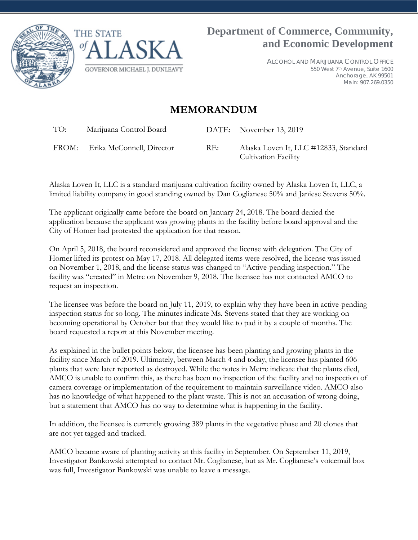



ALCOHOL AND MARIJUANA CONTROL OFFICE 550 West 7th Avenue, Suite 1600 Anchorage, AK 99501 Main: 907.269.0350

## **MEMORANDUM**

TO: Marijuana Control Board DATE: November 13, 2019

FROM: Erika McConnell, Director RE: Alaska Loven It, LLC #12833, Standard

Cultivation Facility

Alaska Loven It, LLC is a standard marijuana cultivation facility owned by Alaska Loven It, LLC, a limited liability company in good standing owned by Dan Coglianese 50% and Janiese Stevens 50%.

The applicant originally came before the board on January 24, 2018. The board denied the application because the applicant was growing plants in the facility before board approval and the City of Homer had protested the application for that reason.

On April 5, 2018, the board reconsidered and approved the license with delegation. The City of Homer lifted its protest on May 17, 2018. All delegated items were resolved, the license was issued on November 1, 2018, and the license status was changed to "Active-pending inspection." The facility was "created" in Metrc on November 9, 2018. The licensee has not contacted AMCO to request an inspection.

The licensee was before the board on July 11, 2019, to explain why they have been in active-pending inspection status for so long. The minutes indicate Ms. Stevens stated that they are working on becoming operational by October but that they would like to pad it by a couple of months. The board requested a report at this November meeting.

As explained in the bullet points below, the licensee has been planting and growing plants in the facility since March of 2019. Ultimately, between March 4 and today, the licensee has planted 606 plants that were later reported as destroyed. While the notes in Metrc indicate that the plants died, AMCO is unable to confirm this, as there has been no inspection of the facility and no inspection of camera coverage or implementation of the requirement to maintain surveillance video. AMCO also has no knowledge of what happened to the plant waste. This is not an accusation of wrong doing, but a statement that AMCO has no way to determine what is happening in the facility.

In addition, the licensee is currently growing 389 plants in the vegetative phase and 20 clones that are not yet tagged and tracked.

AMCO became aware of planting activity at this facility in September. On September 11, 2019, Investigator Bankowski attempted to contact Mr. Coglianese, but as Mr. Coglianese's voicemail box was full, Investigator Bankowski was unable to leave a message.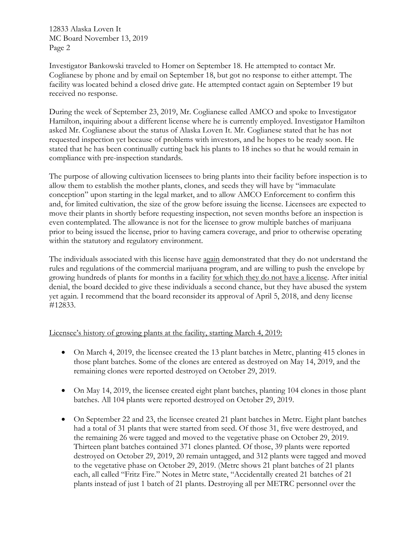12833 Alaska Loven It MC Board November 13, 2019 Page 2

Investigator Bankowski traveled to Homer on September 18. He attempted to contact Mr. Coglianese by phone and by email on September 18, but got no response to either attempt. The facility was located behind a closed drive gate. He attempted contact again on September 19 but received no response.

During the week of September 23, 2019, Mr. Coglianese called AMCO and spoke to Investigator Hamilton, inquiring about a different license where he is currently employed. Investigator Hamilton asked Mr. Coglianese about the status of Alaska Loven It. Mr. Coglianese stated that he has not requested inspection yet because of problems with investors, and he hopes to be ready soon. He stated that he has been continually cutting back his plants to 18 inches so that he would remain in compliance with pre-inspection standards.

The purpose of allowing cultivation licensees to bring plants into their facility before inspection is to allow them to establish the mother plants, clones, and seeds they will have by "immaculate conception" upon starting in the legal market, and to allow AMCO Enforcement to confirm this and, for limited cultivation, the size of the grow before issuing the license. Licensees are expected to move their plants in shortly before requesting inspection, not seven months before an inspection is even contemplated. The allowance is not for the licensee to grow multiple batches of marijuana prior to being issued the license, prior to having camera coverage, and prior to otherwise operating within the statutory and regulatory environment.

The individuals associated with this license have again demonstrated that they do not understand the rules and regulations of the commercial marijuana program, and are willing to push the envelope by growing hundreds of plants for months in a facility for which they do not have a license. After initial denial, the board decided to give these individuals a second chance, but they have abused the system yet again. I recommend that the board reconsider its approval of April 5, 2018, and deny license #12833.

#### Licensee's history of growing plants at the facility, starting March 4, 2019:

- On March 4, 2019, the licensee created the 13 plant batches in Metrc, planting 415 clones in those plant batches. Some of the clones are entered as destroyed on May 14, 2019, and the remaining clones were reported destroyed on October 29, 2019.
- On May 14, 2019, the licensee created eight plant batches, planting 104 clones in those plant batches. All 104 plants were reported destroyed on October 29, 2019.
- On September 22 and 23, the licensee created 21 plant batches in Metrc. Eight plant batches had a total of 31 plants that were started from seed. Of those 31, five were destroyed, and the remaining 26 were tagged and moved to the vegetative phase on October 29, 2019. Thirteen plant batches contained 371 clones planted. Of those, 39 plants were reported destroyed on October 29, 2019, 20 remain untagged, and 312 plants were tagged and moved to the vegetative phase on October 29, 2019. (Metrc shows 21 plant batches of 21 plants each, all called "Fritz Fire." Notes in Metrc state, "Accidentally created 21 batches of 21 plants instead of just 1 batch of 21 plants. Destroying all per METRC personnel over the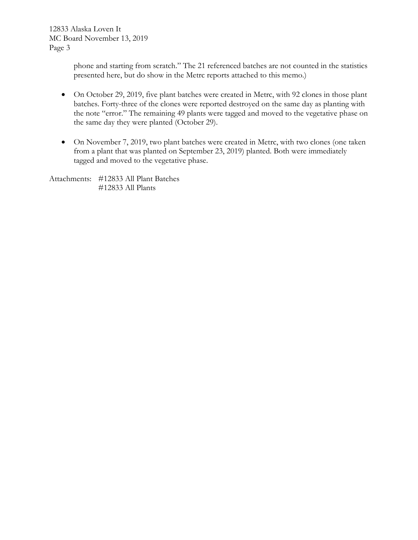12833 Alaska Loven It MC Board November 13, 2019 Page 3

> phone and starting from scratch." The 21 referenced batches are not counted in the statistics presented here, but do show in the Metrc reports attached to this memo.)

- On October 29, 2019, five plant batches were created in Metrc, with 92 clones in those plant batches. Forty-three of the clones were reported destroyed on the same day as planting with the note "error." The remaining 49 plants were tagged and moved to the vegetative phase on the same day they were planted (October 29).
- On November 7, 2019, two plant batches were created in Metrc, with two clones (one taken from a plant that was planted on September 23, 2019) planted. Both were immediately tagged and moved to the vegetative phase.

Attachments: #12833 All Plant Batches #12833 All Plants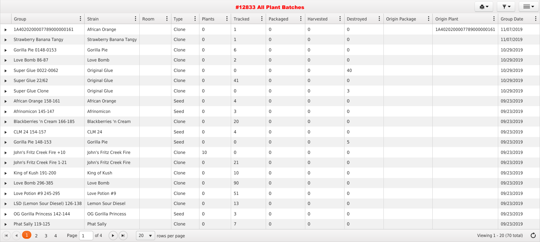|                                                                          |                                                             |                            |          |                    |                           | #12833 All Plant Batches |                    |                    |                  | 白土                       | $\overline{\mathbf{v}}$ $\mathbf{v}$ | $\equiv$                              |  |
|--------------------------------------------------------------------------|-------------------------------------------------------------|----------------------------|----------|--------------------|---------------------------|--------------------------|--------------------|--------------------|------------------|--------------------------|--------------------------------------|---------------------------------------|--|
| Group                                                                    | $\vdots$ Strain                                             | $\vdots$ Room              | $:$ Type | $\vdots$<br>Plants | $\ddot{\cdot}$<br>Tracked | $\vdots$ Packaged        | $\vdots$ Harvested | $\vdots$ Destroyed | : Origin Package | $\vdots$ Origin Plant    | $\vdots$ Group Date                  |                                       |  |
| $\blacktriangleright$ 1A40202000077890000000161                          | African Orange                                              |                            | Clone    | $\overline{0}$     |                           | $\overline{0}$           | $\overline{0}$     | $\overline{0}$     |                  | 1A4020200007789000000161 | 11/07/2019                           |                                       |  |
| Strawberry Banana Tangy                                                  | <b>Strawberry Banana Tangy</b>                              |                            | Clone    | $\overline{0}$     |                           | $\overline{0}$           | $\overline{0}$     | $\overline{0}$     |                  |                          | 11/07/2019                           |                                       |  |
| $\triangleright$ Gorilla Pie 0148-0153                                   | Gorilla Pie                                                 |                            | Clone    | $\overline{0}$     | 6                         | $\overline{0}$           | $\overline{0}$     | $\overline{0}$     |                  |                          | 10/29/2019                           |                                       |  |
| Love Bomb 86-87                                                          | Love Bomb                                                   |                            | Clone    | $\overline{0}$     | $\overline{2}$            | $\overline{0}$           | $\overline{0}$     | $\overline{0}$     |                  |                          | 10/29/2019                           |                                       |  |
| Super Glue 0022-0062                                                     | <b>Original Glue</b>                                        |                            | Clone    | $\overline{0}$     | $\overline{0}$            | $\overline{0}$           | $\overline{0}$     | 40                 |                  |                          | 10/29/2019                           |                                       |  |
| $\blacktriangleright$ Super Glue 22/62                                   | <b>Original Glue</b>                                        |                            | Clone    | $\overline{0}$     | 41                        | $\overline{0}$           | $\overline{0}$     | $\overline{0}$     |                  |                          | 10/29/2019                           |                                       |  |
| Super Glue Clone                                                         | <b>Original Glue</b>                                        |                            | Clone    | $\overline{0}$     | $\overline{0}$            | $\overline{0}$           | $\overline{0}$     | $\mathsf{3}$       |                  |                          | 10/29/2019                           |                                       |  |
| African Orange 158-161                                                   | African Orange                                              |                            | Seed     | $\overline{0}$     | $\overline{4}$            | $\overline{0}$           | $\overline{0}$     | $\overline{0}$     |                  |                          | 09/23/2019                           |                                       |  |
| Afrinomicon 145-147                                                      | Afrinomicon                                                 |                            | Seed     | $\overline{0}$     | $\overline{3}$            | $\overline{0}$           | $\overline{0}$     | $\overline{0}$     |                  |                          | 09/23/2019                           |                                       |  |
| Blackberries 'n Cream 166-185                                            | Blackberries 'n Cream                                       |                            | Clone    | $\overline{0}$     | 20                        | $\overline{0}$           | $\overline{0}$     | $\overline{0}$     |                  |                          | 09/23/2019                           |                                       |  |
| $\triangleright$ CLM 24 154-157                                          | <b>CLM 24</b>                                               |                            | Seed     | $\overline{0}$     | 4                         | $\overline{0}$           | $\overline{0}$     | $\overline{0}$     |                  |                          | 09/23/2019                           |                                       |  |
| $\triangleright$ Gorilla Pie 148-153                                     | Gorilla Pie                                                 |                            | Seed     | $\overline{0}$     | $\overline{0}$            | $\overline{0}$           | $\overline{0}$     | $5\phantom{.}$     |                  |                          | 09/23/2019                           |                                       |  |
| $\blacktriangleright$ John's Fritz Creek Fire +10                        | John's Fritz Creek Fire                                     |                            | Clone    | 10                 | $\overline{0}$            | $\overline{0}$           | $\overline{0}$     | $\overline{0}$     |                  |                          | 09/23/2019                           |                                       |  |
| > John's Fritz Creek Fire 1-21                                           | John's Fritz Creek Fire                                     |                            | Clone    | $\mathbf 0$        | 21                        | $\overline{0}$           | $\overline{0}$     | $\overline{0}$     |                  |                          | 09/23/2019                           |                                       |  |
| $\triangleright$ King of Kush 191-200                                    | King of Kush                                                |                            | Clone    | $\overline{0}$     | 10                        | $\overline{0}$           | $\overline{0}$     | $\overline{0}$     |                  |                          |                                      | 09/23/2019                            |  |
| $\blacktriangleright$ Love Bomb 296-385                                  | Love Bomb                                                   |                            | Clone    | $\overline{0}$     | 90                        | $\overline{0}$           | $\overline{0}$     | $\overline{0}$     |                  |                          | 09/23/2019                           |                                       |  |
| $\blacktriangleright$ Love Potion #9 245-295                             | Love Potion #9                                              |                            | Clone    | $\overline{0}$     | 51                        | $\overline{0}$           | $\overline{0}$     | $\overline{0}$     |                  |                          | 09/23/2019                           |                                       |  |
| • LSD (Lemon Sour Diesel) 126-138                                        | Lemon Sour Diesel                                           |                            | Clone    | $\overline{0}$     | 13                        | $\overline{0}$           | $\overline{0}$     | $\overline{0}$     |                  |                          | 09/23/2019                           |                                       |  |
| • OG Gorilla Princess 142-144                                            | OG Gorilla Princess                                         |                            | Seed     | $\overline{0}$     | $\overline{3}$            | $\overline{0}$           | $\overline{0}$     | $\overline{0}$     |                  |                          | 09/23/2019                           |                                       |  |
| $\blacktriangleright$ Phat Sally 119-125                                 | <b>Phat Sally</b>                                           |                            | Clone    | $\overline{0}$     | $\overline{7}$            | $\overline{0}$           | $\overline{0}$     | $\overline{0}$     |                  |                          | 09/23/2019                           |                                       |  |
| $2 \quad 3$<br>$\mathbf{R}$ $($ 4 $)$ $($ $\mathbf{1}$<br>$\overline{4}$ | Page $1 \text{ of } 4 \text{ } (\rightarrow) (\rightarrow)$ | $20 \bullet$ rows per page |          |                    |                           |                          |                    |                    |                  |                          |                                      | Viewing $1 - 20$ (70 total) $\bullet$ |  |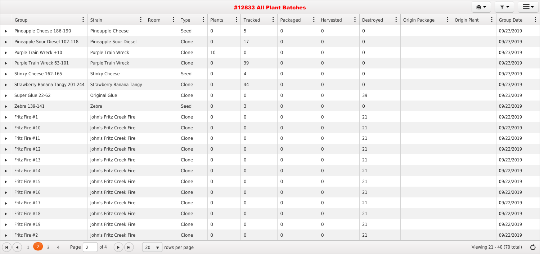|                       | e.<br>#12833 All Plant Batches                                                           |                                            |                            |       |                          |                |                |  |                |                |                  |                       |                |                                      | $\equiv$ $\sim$   |  |  |
|-----------------------|------------------------------------------------------------------------------------------|--------------------------------------------|----------------------------|-------|--------------------------|----------------|----------------|--|----------------|----------------|------------------|-----------------------|----------------|--------------------------------------|-------------------|--|--|
|                       | $\ddot{\cdot}$<br>Group                                                                  | $\ddot{\cdot}$<br>Strain                   | $\ddot{\cdot}$<br>Room     | Type  | $\ddot{\cdot}$<br>Plants | $\ddot{\cdot}$ | Tracked        |  | Packaged       | $\ddot{\cdot}$ | :  <br>Harvested | $\vdots$<br>Destroyed | Origin Package | $\vdots$ Origin Plant                | <b>Group Date</b> |  |  |
| $\blacktriangleright$ | Pineapple Cheese 186-190                                                                 | Pineapple Cheese                           |                            | Seed  | $\overline{0}$           |                | 5              |  | $\overline{0}$ | $\overline{0}$ |                  | $\overline{0}$        |                |                                      | 09/23/2019        |  |  |
|                       | Pineapple Sour Diesel 102-118                                                            | Pineapple Sour Diesel                      |                            | Clone | $\overline{0}$           |                | 17             |  | $\overline{0}$ | $\overline{0}$ |                  | $\overline{0}$        |                |                                      | 09/23/2019        |  |  |
|                       | $\blacktriangleright$ Purple Train Wreck +10                                             | Purple Train Wreck                         |                            | Clone | 10                       |                | $\overline{0}$ |  | $\overline{0}$ | $\overline{0}$ |                  | $\overline{0}$        |                |                                      | 09/23/2019        |  |  |
|                       | Purple Train Wreck 63-101                                                                | Purple Train Wreck                         |                            | Clone | $\overline{0}$           |                | 39             |  | $\overline{0}$ | $\overline{0}$ |                  | $\overline{0}$        |                |                                      | 09/23/2019        |  |  |
|                       | Stinky Cheese 162-165                                                                    | <b>Stinky Cheese</b>                       |                            | Seed  | $\overline{0}$           |                | $\overline{4}$ |  | $\overline{0}$ | $\overline{0}$ |                  | $\overline{0}$        |                |                                      | 09/23/2019        |  |  |
|                       | Strawberry Banana Tangy 201-244                                                          | <b>Strawberry Banana Tangy</b>             |                            | Clone | $\overline{0}$           |                | 44             |  | $\overline{0}$ | $\overline{0}$ |                  | $\overline{0}$        |                |                                      | 09/23/2019        |  |  |
|                       | Super Glue 22-62                                                                         | <b>Original Glue</b>                       |                            | Clone | $\overline{0}$           |                | $\overline{0}$ |  | $\overline{0}$ | $\overline{0}$ |                  | 39                    |                |                                      | 09/23/2019        |  |  |
|                       | $\blacktriangleright$ Zebra 139-141                                                      | Zebra                                      |                            | Seed  | $\overline{0}$           |                | $\mathsf{3}$   |  | $\overline{0}$ | $\overline{0}$ |                  | $\overline{0}$        |                |                                      | 09/23/2019        |  |  |
|                       | $\blacktriangleright$ Fritz Fire #1                                                      | John's Fritz Creek Fire                    |                            | Clone | $\overline{0}$           |                | $\overline{0}$ |  | $\overline{0}$ | $\overline{0}$ |                  | 21                    |                |                                      | 09/22/2019        |  |  |
|                       | $\blacktriangleright$ Fritz Fire #10                                                     | John's Fritz Creek Fire                    |                            | Clone | $\overline{0}$           |                | $\overline{0}$ |  | $\overline{0}$ | $\overline{0}$ |                  | 21                    |                |                                      | 09/22/2019        |  |  |
|                       | $\blacktriangleright$ Fritz Fire #11                                                     | John's Fritz Creek Fire                    |                            | Clone | $\overline{0}$           |                | $\overline{0}$ |  | $\overline{0}$ | $\overline{0}$ |                  | 21                    |                |                                      | 09/22/2019        |  |  |
|                       | $\blacktriangleright$ Fritz Fire #12                                                     | John's Fritz Creek Fire                    |                            | Clone | $\overline{0}$           |                | $\overline{0}$ |  | $\overline{0}$ | $\overline{0}$ |                  | 21                    |                |                                      | 09/22/2019        |  |  |
|                       | $\blacktriangleright$ Fritz Fire #13                                                     | John's Fritz Creek Fire                    |                            | Clone | $\overline{0}$           |                | $\overline{0}$ |  | $\overline{0}$ | $\overline{0}$ |                  | 21                    |                |                                      | 09/22/2019        |  |  |
|                       | $\blacktriangleright$ Fritz Fire #14                                                     | John's Fritz Creek Fire                    |                            | Clone | $\overline{0}$           |                | $\overline{0}$ |  | $\overline{0}$ | $\overline{0}$ |                  | 21                    |                |                                      | 09/22/2019        |  |  |
|                       | $\blacktriangleright$ Fritz Fire #15                                                     | John's Fritz Creek Fire                    |                            | Clone | $\overline{0}$           |                | $\overline{0}$ |  | $\overline{0}$ | $\overline{0}$ |                  | 21                    |                |                                      | 09/22/2019        |  |  |
|                       | $\blacktriangleright$ Fritz Fire #16                                                     | John's Fritz Creek Fire                    |                            | Clone | $\overline{0}$           |                | $\overline{0}$ |  | $\overline{0}$ | $\overline{0}$ |                  | 21                    |                |                                      | 09/22/2019        |  |  |
|                       | $\blacktriangleright$ Fritz Fire #17                                                     | John's Fritz Creek Fire                    |                            | Clone | $\overline{0}$           |                | $\overline{0}$ |  | $\overline{0}$ | $\overline{0}$ |                  | 21                    |                |                                      | 09/22/2019        |  |  |
|                       | $\blacktriangleright$ Fritz Fire #18                                                     | John's Fritz Creek Fire                    |                            | Clone | $\overline{0}$           |                | $\overline{0}$ |  | $\overline{0}$ | $\overline{0}$ |                  | 21                    |                |                                      | 09/22/2019        |  |  |
|                       | $\blacktriangleright$ Fritz Fire #19                                                     | John's Fritz Creek Fire                    |                            | Clone | $\overline{0}$           |                | $\overline{0}$ |  | $\overline{0}$ | $\overline{0}$ |                  | 21                    |                |                                      | 09/22/2019        |  |  |
|                       | $\blacktriangleright$ Fritz Fire #2                                                      | John's Fritz Creek Fire                    |                            | Clone | $\overline{0}$           |                | $\overline{0}$ |  | $\overline{0}$ | $\overline{0}$ |                  | 21                    |                |                                      | 09/22/2019        |  |  |
|                       | 1(2)<br>Page $\vert 2 \vert$<br>$\mathbf{H}$ $\mathbf{H}$ $\mathbf{H}$<br>$\overline{4}$ | of 4<br>$(\triangleright)(\triangleright)$ | $20 \bullet$ rows per page |       |                          |                |                |  |                |                |                  |                       |                | Viewing 21 - 40 (70 total) $\bullet$ |                   |  |  |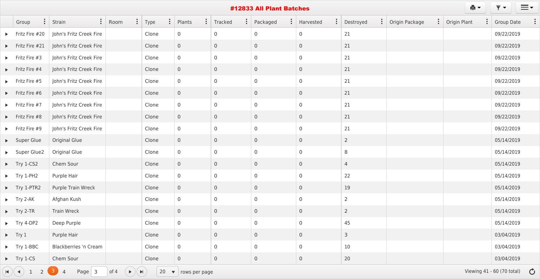|                                      |                                            |                    |                                 |                            |                  |                | #12833 All Plant Batches |                                      |                             |                                 | 真土                        | ₹▼<br>$\equiv$ $\sim$                |
|--------------------------------------|--------------------------------------------|--------------------|---------------------------------|----------------------------|------------------|----------------|--------------------------|--------------------------------------|-----------------------------|---------------------------------|---------------------------|--------------------------------------|
| Group                                | $\vdots$<br>Strain                         | Room               | $\ddot{\cdot}$<br>$\vdots$ Type | Plants                     | $\vdots$ Tracked | $\ddot{\cdot}$ | Packaged                 | $\ddot{\cdot}$<br>$\vdots$ Harvested | $\ddot{\cdot}$<br>Destroyed | Origin Package<br>$\frac{1}{2}$ | Origin Plant<br>$\bullet$ | <b>Group Date</b>                    |
| $\blacktriangleright$ Fritz Fire #20 | John's Fritz Creek Fire                    |                    | Clone                           | $\overline{0}$             | $\overline{0}$   |                | $\overline{0}$           | $\overline{0}$                       | 21                          |                                 |                           | 09/22/2019                           |
| $\blacktriangleright$ Fritz Fire #21 | John's Fritz Creek Fire                    |                    | Clone                           | $\overline{0}$             | $\overline{0}$   |                | $\overline{0}$           | $\overline{0}$                       | 21                          |                                 |                           | 09/22/2019                           |
| $\blacktriangleright$ Fritz Fire #3  | John's Fritz Creek Fire                    |                    | Clone                           | $\overline{0}$             | $\overline{0}$   |                | $\overline{0}$           | $\overline{0}$                       | 21                          |                                 |                           | 09/22/2019                           |
| $\blacktriangleright$ Fritz Fire #4  | John's Fritz Creek Fire                    |                    | Clone                           | $\overline{0}$             | $\overline{0}$   |                | $\overline{0}$           | $\overline{0}$                       | 21                          |                                 |                           | 09/22/2019                           |
| $\blacktriangleright$ Fritz Fire #5  | John's Fritz Creek Fire                    |                    | Clone                           | $\overline{0}$             | $\overline{0}$   |                | $\overline{0}$           | $\overline{0}$                       | 21                          |                                 |                           | 09/22/2019                           |
| $\blacktriangleright$ Fritz Fire #6  | John's Fritz Creek Fire                    |                    | Clone                           | $\overline{0}$             | $\overline{0}$   |                | $\overline{0}$           | $\overline{0}$                       | 21                          |                                 |                           | 09/22/2019                           |
| $\blacktriangleright$ Fritz Fire #7  | John's Fritz Creek Fire                    |                    | Clone                           | $\overline{0}$             | $\overline{0}$   |                | $\overline{0}$           | $\overline{0}$                       | 21                          |                                 |                           | 09/22/2019                           |
| $\blacktriangleright$ Fritz Fire #8  | John's Fritz Creek Fire                    |                    | Clone                           | $\overline{0}$             | $\overline{0}$   |                | $\overline{0}$           | $\overline{0}$                       | 21                          |                                 |                           | 09/22/2019                           |
| $\blacktriangleright$ Fritz Fire #9  | John's Fritz Creek Fire                    |                    | Clone                           | $\overline{0}$             | $\overline{0}$   |                | $\overline{0}$           | $\overline{0}$                       | 21                          |                                 |                           | 09/22/2019                           |
| Super Glue                           | <b>Original Glue</b>                       |                    | Clone                           | $\overline{0}$             | $\overline{0}$   |                | $\overline{0}$           | $\overline{0}$                       | $\overline{2}$              |                                 |                           | 05/14/2019                           |
| Super Glue2                          | <b>Original Glue</b>                       |                    | Clone                           | $\overline{0}$             | $\overline{0}$   |                | $\overline{0}$           | $\overline{0}$                       | 8                           |                                 |                           | 05/14/2019                           |
| $\blacktriangleright$ Try 1-CS2      | Chem Sour                                  |                    | Clone                           | $\overline{0}$             | $\overline{0}$   |                | $\overline{0}$           | $\overline{0}$                       | 4                           |                                 |                           | 05/14/2019                           |
| $\blacktriangleright$ Try 1-PH2      | Purple Hair                                |                    | Clone                           | $\overline{0}$             | $\overline{0}$   |                | $\overline{0}$           | $\overline{0}$                       | 22                          |                                 |                           | 05/14/2019                           |
| $\blacktriangleright$ Try 1-PTR2     | Purple Train Wreck                         |                    | Clone                           | $\overline{0}$             | $\overline{0}$   |                | $\overline{0}$           | $\overline{0}$                       | 19                          |                                 |                           | 05/14/2019                           |
| $\blacktriangleright$ Try 2-AK       | Afghan Kush                                |                    | Clone                           | $\overline{0}$             | $\overline{0}$   |                | $\overline{0}$           | $\overline{0}$                       | $\overline{2}$              |                                 |                           | 05/14/2019                           |
| $\blacktriangleright$ Try 2-TR       | <b>Train Wreck</b>                         |                    | Clone                           | $\overline{0}$             | $\overline{0}$   |                | $\overline{0}$           | $\overline{0}$                       | $\overline{2}$              |                                 |                           | 05/14/2019                           |
| $\blacktriangleright$ Try 4-DP2      | Deep Purple                                |                    | Clone                           | $\overline{0}$             | $\overline{0}$   |                | $\boldsymbol{0}$         | $\overline{0}$                       | 45                          |                                 |                           | 05/14/2019                           |
| $\blacktriangleright$ Try 1          | Purple Hair                                |                    | Clone                           | $\overline{0}$             | $\overline{0}$   |                | $\overline{0}$           | $\overline{0}$                       | $\mathsf{3}$                |                                 |                           | 03/04/2019                           |
| $\blacktriangleright$ Try 1-BBC      | Blackberries 'n Cream                      |                    | Clone                           | $\boldsymbol{0}$           | $\overline{0}$   |                | $\overline{0}$           | $\overline{0}$                       | 10                          |                                 |                           | 03/04/2019                           |
| $\blacktriangleright$ Try 1-CS       | Chem Sour                                  |                    | Clone                           | $\overline{0}$             | $\overline{0}$   |                | $\overline{0}$           | $\overline{0}$                       | 20                          |                                 |                           | 03/04/2019                           |
| $H$ $(4)$<br>$\overline{2}$          | $\mathbf{3}$<br>Page $3$<br>$\overline{4}$ | of 4<br>$(+)$ $()$ |                                 | 20 $\bullet$ rows per page |                  |                |                          |                                      |                             |                                 |                           | Viewing 41 - 60 (70 total) $\bullet$ |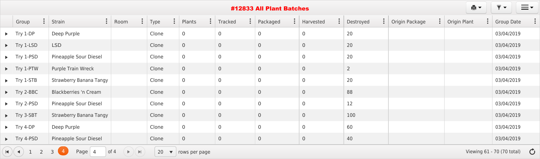| ₿Y.<br>$\overline{\phantom{a}}$<br>$\blacktriangledown$<br>#12833 All Plant Batches                                                                                                                                 |                                |                        |                        |                          |                           |                            |                             |                       |                |                                         |                   |  |  |
|---------------------------------------------------------------------------------------------------------------------------------------------------------------------------------------------------------------------|--------------------------------|------------------------|------------------------|--------------------------|---------------------------|----------------------------|-----------------------------|-----------------------|----------------|-----------------------------------------|-------------------|--|--|
| $\ddot{\cdot}$<br>Group                                                                                                                                                                                             | $\ddot{\cdot}$<br>Strain       | $\ddot{\cdot}$<br>Room | $\ddot{\cdot}$<br>Type | $\ddot{\cdot}$<br>Plants | $\ddot{\cdot}$<br>Tracked | $\ddot{\cdot}$<br>Packaged | $\ddot{\cdot}$<br>Harvested | $\vdots$<br>Destroyed | Origin Package | $\vdots$ Origin Plant<br>$\ddot{\cdot}$ | <b>Group Date</b> |  |  |
| $\blacktriangleright$ Try 1-DP                                                                                                                                                                                      | Deep Purple                    |                        | Clone                  | $\overline{0}$           | $\overline{0}$            | $\overline{0}$             | $\overline{0}$              | 20                    |                |                                         | 03/04/2019        |  |  |
| $\blacktriangleright$ Try 1-LSD                                                                                                                                                                                     | <b>LSD</b>                     |                        | Clone                  | $\overline{0}$           | $\overline{0}$            | $\overline{0}$             | $\overline{0}$              | 20                    |                |                                         | 03/04/2019        |  |  |
| $\blacktriangleright$ Try 1-PSD                                                                                                                                                                                     | Pineapple Sour Diesel          |                        | Clone                  | $\overline{0}$           | $\overline{0}$            | $\overline{0}$             | $\overline{0}$              | 20                    |                |                                         | 03/04/2019        |  |  |
| $\blacktriangleright$ Try 1-PTW                                                                                                                                                                                     | Purple Train Wreck             |                        | Clone                  | $\overline{0}$           | $\overline{0}$            | $\overline{0}$             | $\overline{0}$              | $\overline{2}$        |                |                                         | 03/04/2019        |  |  |
| $\blacktriangleright$ Try 1-STB                                                                                                                                                                                     | <b>Strawberry Banana Tangy</b> |                        | Clone                  | $\overline{0}$           | $\overline{0}$            | $\overline{0}$             | $\overline{0}$              | 20                    |                |                                         | 03/04/2019        |  |  |
| $\blacktriangleright$ Try 2-BBC                                                                                                                                                                                     | <b>Blackberries 'n Cream</b>   |                        | Clone                  | $\mathsf{O}\xspace$      | $\overline{0}$            | $\overline{0}$             | $\overline{0}$              | 88                    |                |                                         | 03/04/2019        |  |  |
| $\blacktriangleright$ Try 2-PSD                                                                                                                                                                                     | Pineapple Sour Diesel          |                        | Clone                  | $\overline{0}$           | $\overline{0}$            | $\overline{0}$             | $\overline{0}$              | 12                    |                |                                         | 03/04/2019        |  |  |
| $\blacktriangleright$ Try 3-SBT                                                                                                                                                                                     | <b>Strawberry Banana Tangy</b> |                        | Clone                  | $\overline{0}$           | $\overline{0}$            | $\overline{0}$             | $\overline{0}$              | 100                   |                |                                         | 03/04/2019        |  |  |
| $\blacktriangleright$ Try 4-DP                                                                                                                                                                                      | Deep Purple                    |                        | Clone                  | $\overline{0}$           | $\overline{0}$            | $\overline{0}$             | $\overline{0}$              | 60                    |                |                                         | 03/04/2019        |  |  |
| $\blacktriangleright$ Try 4-PSD                                                                                                                                                                                     | <b>Pineapple Sour Diesel</b>   |                        | Clone                  | $\overline{0}$           | $\overline{0}$            | $\overline{0}$             | $\overline{0}$              | 40                    |                |                                         | 03/04/2019        |  |  |
| of 4<br>Viewing 61 - 70 (70 total) $\bullet$<br>$\vert A \vert$<br>2<br>Page $\vert 4$<br>20<br>$\left 4\right\rangle$<br>$\blacktriangleright$<br>3<br>$\blacktriangleright$<br>$\blacktriangledown$ rows per page |                                |                        |                        |                          |                           |                            |                             |                       |                |                                         |                   |  |  |



#### #12833 All Plant Batches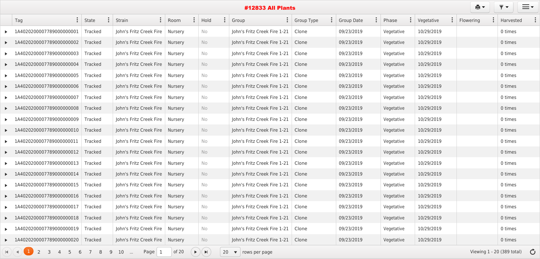|                       |                                                                            |                |                                   |                |                |                                             |                | <b>#12833 All Plants</b>           |              |            |            |                     | ê t                                    |         | $\equiv$ $\sim$ |  |
|-----------------------|----------------------------------------------------------------------------|----------------|-----------------------------------|----------------|----------------|---------------------------------------------|----------------|------------------------------------|--------------|------------|------------|---------------------|----------------------------------------|---------|-----------------|--|
|                       | $\ddot{\cdot}$<br>Tag                                                      | State          | $\vdots$<br>Strain                | <b>Room</b>    | $\ddot{\cdot}$ | Hold                                        | $\ddot{\cdot}$ | Group                              | : Group Type | Group Date | Phase      | $\vdots$ Vegetative | $\ddot{\cdot}$<br>Flowering            |         | Harvested       |  |
|                       | 1A4020200007789000000001                                                   | <b>Tracked</b> | John's Fritz Creek Fire           | Nursery        |                | No                                          |                | John's Fritz Creek Fire 1-21       | Clone        | 09/23/2019 | Vegetative | 10/29/2019          |                                        | 0 times |                 |  |
|                       | 1A4020200007789000000002                                                   | <b>Tracked</b> | John's Fritz Creek Fire           | <b>Nursery</b> |                | No                                          |                | John's Fritz Creek Fire 1-21       | Clone        | 09/23/2019 | Vegetative | 10/29/2019          |                                        | 0 times |                 |  |
|                       | 1A4020200007789000000003                                                   | Tracked        | John's Fritz Creek Fire           | Nursery        |                | No                                          |                | John's Fritz Creek Fire 1-21       | Clone        | 09/23/2019 | Vegetative | 10/29/2019          |                                        | 0 times |                 |  |
|                       | $\blacktriangleright$ 1A4020200007789000000004                             | Tracked        | John's Fritz Creek Fire           | Nursery        |                | No                                          |                | John's Fritz Creek Fire 1-21       | Clone        | 09/23/2019 | Vegetative | 10/29/2019          |                                        | 0 times |                 |  |
|                       | 1A4020200007789000000005                                                   | Tracked        | John's Fritz Creek Fire           | <b>Nursery</b> |                | No                                          |                | John's Fritz Creek Fire 1-21       | Clone        | 09/23/2019 | Vegetative | 10/29/2019          |                                        | 0 times |                 |  |
|                       | 1A4020200007789000000006                                                   | <b>Tracked</b> | John's Fritz Creek Fire           | Nursery        |                | No                                          |                | John's Fritz Creek Fire 1-21       | Clone        | 09/23/2019 | Vegetative | 10/29/2019          |                                        | 0 times |                 |  |
|                       | 1A4020200007789000000007                                                   | Tracked        | John's Fritz Creek Fire           | Nursery        |                | No                                          |                | John's Fritz Creek Fire 1-21       | Clone        | 09/23/2019 | Vegetative | 10/29/2019          |                                        | 0 times |                 |  |
|                       | 1A4020200007789000000008                                                   | <b>Tracked</b> | John's Fritz Creek Fire           | Nursery        |                | No                                          |                | John's Fritz Creek Fire 1-21       | Clone        | 09/23/2019 | Vegetative | 10/29/2019          |                                        | 0 times |                 |  |
|                       | 1A4020200007789000000009                                                   | Tracked        | John's Fritz Creek Fire           | Nursery        |                | No                                          |                | John's Fritz Creek Fire 1-21       | Clone        | 09/23/2019 | Vegetative | 10/29/2019          |                                        | 0 times |                 |  |
|                       | 1A4020200007789000000010                                                   | Tracked        | John's Fritz Creek Fire           | Nursery        |                | No                                          |                | John's Fritz Creek Fire 1-21       | Clone        | 09/23/2019 | Vegetative | 10/29/2019          |                                        | 0 times |                 |  |
|                       | 1A4020200007789000000011                                                   | Tracked        | John's Fritz Creek Fire           | Nursery        |                | No                                          |                | John's Fritz Creek Fire 1-21       | Clone        | 09/23/2019 | Vegetative | 10/29/2019          |                                        | 0 times |                 |  |
|                       | 20200007789000000012                                                       | Tracked        | John's Fritz Creek Fire           | Nursery        |                | No                                          |                | John's Fritz Creek Fire 1-21       | Clone        | 09/23/2019 | Vegetative | 10/29/2019          |                                        | 0 times |                 |  |
|                       | 1A4020200007789000000013                                                   | Tracked        | John's Fritz Creek Fire           | Nursery        |                | No                                          |                | John's Fritz Creek Fire 1-21       | Clone        | 09/23/2019 | Vegetative | 10/29/2019          |                                        | 0 times |                 |  |
|                       | 1A4020200007789000000014                                                   | Tracked        | John's Fritz Creek Fire   Nursery |                |                | No                                          |                | John's Fritz Creek Fire 1-21       | Clone        | 09/23/2019 | Vegetative | 10/29/2019          |                                        | 0 times |                 |  |
|                       | 1A4020200007789000000015                                                   | Tracked        | John's Fritz Creek Fire   Nursery |                |                | No                                          |                | John's Fritz Creek Fire 1-21       | Clone        | 09/23/2019 | Vegetative | 10/29/2019          |                                        | 0 times |                 |  |
| $\blacktriangleright$ | 1A4020200007789000000016                                                   | Tracked        | John's Fritz Creek Fire   Nursery |                |                | No                                          |                | John's Fritz Creek Fire 1-21       | Clone        | 09/23/2019 | Vegetative | 10/29/2019          |                                        | 0 times |                 |  |
|                       | 1A4020200007789000000017                                                   | Tracked        | John's Fritz Creek Fire   Nursery |                |                | No                                          |                | John's Fritz Creek Fire 1-21       | Clone        | 09/23/2019 | Vegetative | 10/29/2019          |                                        | 0 times |                 |  |
| $\blacktriangleright$ | 1A4020200007789000000018                                                   | Tracked        | John's Fritz Creek Fire   Nursery |                |                | No                                          |                | John's Fritz Creek Fire 1-21       | Clone        | 09/23/2019 | Vegetative | 10/29/2019          |                                        | 0 times |                 |  |
|                       | 1A4020200007789000000019                                                   | Tracked        | John's Fritz Creek Fire           | Nursery        |                | No                                          |                | John's Fritz Creek Fire 1-21       | Clone        | 09/23/2019 | Vegetative | 10/29/2019          |                                        | 0 times |                 |  |
|                       | 1A4020200007789000000020                                                   | Tracked        | John's Fritz Creek Fire   Nursery |                |                | No                                          |                | John's Fritz Creek Fire 1-21       | Clone        | 09/23/2019 | Vegetative | 10/29/2019          |                                        | 0 times |                 |  |
|                       | $\overline{2}$<br>$\overline{3}$<br>$5\overline{)}$<br>$\overline{4}$<br>6 | 7 8<br>9       | $10$<br>Page $1$                  | of $20$        |                | $\blacktriangleright)(\blacktriangleright)$ | 20             | $\blacktriangledown$ rows per page |              |            |            |                     | Viewing $1 - 20$ (389 total) $\bullet$ |         |                 |  |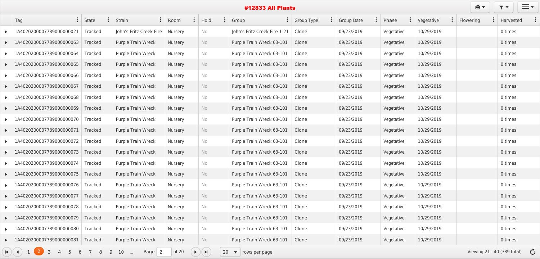|                       |                                                                  |                           |                           |                |                                             |           |                | <b>#12833 All Plants</b>     |            |            |            |                     | ê t                                   |         | $\equiv$ $\sim$ |  |
|-----------------------|------------------------------------------------------------------|---------------------------|---------------------------|----------------|---------------------------------------------|-----------|----------------|------------------------------|------------|------------|------------|---------------------|---------------------------------------|---------|-----------------|--|
|                       | Tag                                                              | $\vdots$ State            | $\vdots$<br>Strain        | Room           | $\ddot{\cdot}$                              | Hold      | $\ddot{\cdot}$ | $\ddot{\cdot}$<br>Group      | Group Type | Group Date | Phase      | $\vdots$ Vegetative | Flowering                             |         | Harvested       |  |
|                       | 1A4020200007789000000021                                         | <b>Tracked</b>            | John's Fritz Creek Fire   | Nursery        |                                             | No        |                | John's Fritz Creek Fire 1-21 | Clone      | 09/23/2019 | Vegetative | 10/29/2019          |                                       | 0 times |                 |  |
|                       | 1A4020200007789000000063                                         | <b>Tracked</b>            | <b>Purple Train Wreck</b> | Nursery        |                                             | <b>No</b> |                | Purple Train Wreck 63-101    | Clone      | 09/23/2019 | Vegetative | 10/29/2019          |                                       | 0 times |                 |  |
|                       | 1A4020200007789000000064                                         | <b>Tracked</b>            | Purple Train Wreck        | Nursery        |                                             | No        |                | Purple Train Wreck 63-101    | Clone      | 09/23/2019 | Vegetative | 10/29/2019          |                                       | 0 times |                 |  |
|                       | $\blacktriangleright$ 1A4020200007789000000065                   | <b>Tracked</b>            | <b>Purple Train Wreck</b> | <b>Nursery</b> |                                             | No        |                | Purple Train Wreck 63-101    | Clone      | 09/23/2019 | Vegetative | 10/29/2019          |                                       | 0 times |                 |  |
|                       | 1A4020200007789000000066                                         | <b>Tracked</b>            | <b>Purple Train Wreck</b> | Nursery        |                                             | No        |                | Purple Train Wreck 63-101    | Clone      | 09/23/2019 | Vegetative | 10/29/2019          |                                       | 0 times |                 |  |
|                       | LA4020200007789000000067                                         | <b>Tracked</b>            | <b>Purple Train Wreck</b> | Nursery        |                                             | No        |                | Purple Train Wreck 63-101    | Clone      | 09/23/2019 | Vegetative | 10/29/2019          |                                       | 0 times |                 |  |
|                       | 1A4020200007789000000068                                         | Tracked                   | <b>Purple Train Wreck</b> | Nursery        |                                             | No        |                | Purple Train Wreck 63-101    | Clone      | 09/23/2019 | Vegetative | 10/29/2019          |                                       | 0 times |                 |  |
| $\blacktriangleright$ | 1A4020200007789000000069                                         | <b>Tracked</b>            | <b>Purple Train Wreck</b> | Nursery        |                                             | No        |                | Purple Train Wreck 63-101    | Clone      | 09/23/2019 | Vegetative | 10/29/2019          |                                       | 0 times |                 |  |
|                       | 1A4020200007789000000070                                         | Tracked                   | Purple Train Wreck        | Nursery        |                                             | No        |                | Purple Train Wreck 63-101    | Clone      | 09/23/2019 | Vegetative | 10/29/2019          |                                       | 0 times |                 |  |
|                       | 1A4020200007789000000071                                         | <b>Tracked</b>            | <b>Purple Train Wreck</b> | Nursery        |                                             | No        |                | Purple Train Wreck 63-101    | Clone      | 09/23/2019 | Vegetative | 10/29/2019          |                                       | 0 times |                 |  |
|                       | 1A4020200007789000000072                                         | Tracked                   | <b>Purple Train Wreck</b> | Nursery        |                                             | No        |                | Purple Train Wreck 63-101    | Clone      | 09/23/2019 | Vegetative | 10/29/2019          |                                       | 0 times |                 |  |
|                       | 4020200007789000000073                                           | <b>Tracked</b>            | <b>Purple Train Wreck</b> | Nursery        |                                             | <b>No</b> |                | Purple Train Wreck 63-101    | Clone      | 09/23/2019 | Vegetative | 10/29/2019          |                                       | 0 times |                 |  |
|                       | 1A4020200007789000000074                                         | <b>Tracked</b>            | Purple Train Wreck        | Nursery        |                                             | No        |                | Purple Train Wreck 63-101    | Clone      | 09/23/2019 | Vegetative | 10/29/2019          |                                       | 0 times |                 |  |
|                       | 1A4020200007789000000075                                         | <b>Tracked</b>            | Purple Train Wreck        | <b>Nursery</b> |                                             | No        |                | Purple Train Wreck 63-101    | Clone      | 09/23/2019 | Vegetative | 10/29/2019          |                                       | 0 times |                 |  |
|                       | 1A4020200007789000000076                                         | Tracked                   | Purple Train Wreck        | Nursery        |                                             | No        |                | Purple Train Wreck 63-101    | Clone      | 09/23/2019 | Vegetative | 10/29/2019          |                                       | 0 times |                 |  |
|                       | $\blacktriangleright$ 1A4020200007789000000077                   | Tracked                   | <b>Purple Train Wreck</b> | Nursery        |                                             | No        |                | Purple Train Wreck 63-101    | Clone      | 09/23/2019 | Vegetative | 10/29/2019          |                                       | 0 times |                 |  |
|                       | LA4020200007789000000078                                         | Tracked                   | Purple Train Wreck        | Nursery        |                                             | No        |                | Purple Train Wreck 63-101    | Clone      | 09/23/2019 | Vegetative | 10/29/2019          |                                       | 0 times |                 |  |
|                       | LA4020200007789000000079                                         | Tracked                   | Purple Train Wreck        | Nursery        |                                             | No        |                | Purple Train Wreck 63-101    | Clone      | 09/23/2019 | Vegetative | 10/29/2019          |                                       | 0 times |                 |  |
|                       | 1A4020200007789000000080                                         | Tracked                   | Purple Train Wreck        | Nursery        |                                             | No        |                | Purple Train Wreck 63-101    | Clone      | 09/23/2019 | Vegetative | 10/29/2019          |                                       | 0 times |                 |  |
|                       | 1A4020200007789000000081                                         | Tracked                   | Purple Train Wreck        | Nursery        |                                             | No        |                | Purple Train Wreck 63-101    | Clone      | 09/23/2019 | Vegetative | 10/29/2019          |                                       | 0 times |                 |  |
|                       | 1(2)<br>$\blacksquare$<br>$\overline{3}$<br>$5\overline{)}$<br>6 | $7\overline{ }$<br>9<br>8 | $10$<br>Page $\vert$ 2    | of 20          | $\blacktriangleright)(\blacktriangleright)$ |           |                | 20 $\bullet$ rows per page   |            |            |            |                     | Viewing 21 - 40 (389 total) $\bullet$ |         |                 |  |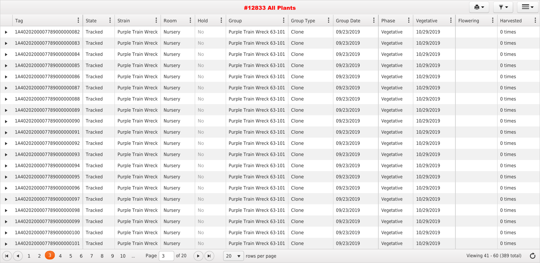|                       | $\ddot{\cdot}$<br>Tag                                                                           | State          | $\ddot{\cdot}$<br>Strain     | $\ddot{\cdot}$<br>Room | $\ddot{\cdot}$<br>Hold  | $\ddot{\cdot}$<br>Group                  | $\ddot{\cdot}$<br><b>Group Type</b> | <b>Group Date</b> | $\ddot{\cdot}$<br>Phase | Vegetative | $\ddot{\cdot}$<br>Flowering | Harvested                             |
|-----------------------|-------------------------------------------------------------------------------------------------|----------------|------------------------------|------------------------|-------------------------|------------------------------------------|-------------------------------------|-------------------|-------------------------|------------|-----------------------------|---------------------------------------|
|                       | 1A4020200007789000000082                                                                        | <b>Tracked</b> | <b>Purple Train Wreck</b>    | <b>Nursery</b>         | No                      | Purple Train Wreck 63-101                | Clone                               | 09/23/2019        | Vegetative              | 10/29/2019 |                             | 0 times                               |
|                       | 1A4020200007789000000083                                                                        | <b>Tracked</b> | <b>Purple Train Wreck</b>    | Nursery                | No                      | Purple Train Wreck 63-101                | Clone                               | 09/23/2019        | Vegetative              | 10/29/2019 |                             | 0 times                               |
|                       | 020200007789000000084<br>1AA                                                                    | <b>Tracked</b> | <b>Purple Train Wreck</b>    | Nursery                | No                      | Purple Train Wreck 63-101                | Clone                               | 09/23/2019        | Vegetative              | 10/29/2019 |                             | 0 times                               |
|                       | 1A4020200007789000000085                                                                        | <b>Tracked</b> | <b>Purple Train Wreck</b>    | Nursery                | No                      | Purple Train Wreck 63-101                | Clone                               | 09/23/2019        | Vegetative              | 10/29/2019 |                             | 0 times                               |
|                       | 1A4020200007789000000086                                                                        | <b>Tracked</b> | <b>Purple Train Wreck</b>    | Nursery                | No                      | Purple Train Wreck 63-101                | Clone                               | 09/23/2019        | Vegetative              | 10/29/2019 |                             | 0 times                               |
|                       | 020200007789000000087<br>1A40                                                                   | <b>Tracked</b> | <b>Purple Train Wreck</b>    | <b>Nursery</b>         | No                      | Purple Train Wreck 63-101                | Clone                               | 09/23/2019        | Vegetative              | 10/29/2019 |                             | 0 times                               |
|                       | 1A4020200007789000000088                                                                        | <b>Tracked</b> | <b>Purple Train Wreck</b>    | Nursery                | No                      | Purple Train Wreck 63-101                | Clone                               | 09/23/2019        | Vegetative              | 10/29/2019 |                             | 0 times                               |
|                       | 020200007789000000089<br>- 1A4                                                                  | <b>Tracked</b> | <b>Purple Train Wreck</b>    | Nursery                | No                      | Purple Train Wreck 63-101                | Clone                               | 09/23/2019        | Vegetative              | 10/29/2019 |                             | 0 times                               |
|                       | 1A4020200007789000000090                                                                        | <b>Tracked</b> | <b>Purple Train Wreck</b>    | Nursery                | No                      | Purple Train Wreck 63-101                | Clone                               | 09/23/2019        | Vegetative              | 10/29/2019 |                             | 0 times                               |
|                       | 1A4020200007789000000091                                                                        | Tracked        | <b>Purple Train Wreck</b>    | Nursery                | No                      | Purple Train Wreck 63-101                | Clone                               | 09/23/2019        | Vegetative              | 10/29/2019 |                             | 0 times                               |
|                       | 020200007789000000092<br>1A40                                                                   | <b>Tracked</b> | <b>Purple Train Wreck</b>    | Nursery                | No                      | Purple Train Wreck 63-101                | Clone                               | 09/23/2019        | Vegetative              | 10/29/2019 |                             | 0 times                               |
| $\blacktriangleright$ | 1A4020200007789000000093                                                                        | <b>Tracked</b> | Purple Train Wreck           | Nursery                | No                      | Purple Train Wreck 63-101                | Clone                               | 09/23/2019        | Vegetative              | 10/29/2019 |                             | 0 times                               |
|                       | 020200007789000000094<br>- 1A4                                                                  | <b>Tracked</b> | <b>Purple Train Wreck</b>    | Nursery                | No                      | Purple Train Wreck 63-101                | Clone                               | 09/23/2019        | Vegetative              | 10/29/2019 |                             | 0 times                               |
|                       | 020200007789000000095                                                                           | <b>Tracked</b> | <b>Purple Train Wreck</b>    | <b>Nursery</b>         | No                      | Purple Train Wreck 63-101                | Clone                               | 09/23/2019        | Vegetative              | 10/29/2019 |                             | 0 times                               |
|                       | 1A4020200007789000000096                                                                        | <b>Tracked</b> | Purple Train Wreck           | Nursery                | No.                     | Purple Train Wreck 63-101                | Clone                               | 09/23/2019        | Vegetative              | 10/29/2019 |                             | 0 times                               |
|                       | $\blacktriangleright$ 1A4020200007789000000097                                                  | Tracked        | Purple Train Wreck   Nursery |                        | No                      | Purple Train Wreck 63-101                | Clone                               | 09/23/2019        | Vegetative              | 10/29/2019 |                             | 0 times                               |
|                       | 1A4020200007789000000098                                                                        | Tracked        | Purple Train Wreck           | Nursery                | No                      | Purple Train Wreck 63-101                | Clone                               | 09/23/2019        | Vegetative              | 10/29/2019 |                             | 0 times                               |
|                       | ▶ 1A4020200007789000000099                                                                      | Tracked        | Purple Train Wreck           | Nursery                | No                      | Purple Train Wreck 63-101                | Clone                               | 09/23/2019        | Vegetative              | 10/29/2019 |                             | 0 times                               |
|                       | 1A4020200007789000000100                                                                        | Tracked        | Purple Train Wreck           | Nursery                | No                      | Purple Train Wreck 63-101                | Clone                               | 09/23/2019        | Vegetative              | 10/29/2019 |                             | 0 times                               |
|                       | 1A4020200007789000000101                                                                        | Tracked        | Purple Train Wreck   Nursery |                        | No                      | Purple Train Wreck 63-101                | Clone                               | 09/23/2019        | Vegetative              | 10/29/2019 |                             | 0 times                               |
|                       | $\mathbf{H}$ $($ $\mathbf{A}$ $)$ $\mathbf{I}$<br>2(3)<br>5 <sup>5</sup><br>$\overline{4}$<br>6 | 8<br>9         | Page $3$<br>10<br>$\sim$     | of 20                  | $\bullet)(\blacksquare$ | 20<br>$\blacktriangledown$ rows per page |                                     |                   |                         |            |                             | Viewing 41 - 60 (389 total) $\bullet$ |

 $\mathbf{B}$   $\mathbf{v}$   $\mathbf{v}$   $\mathbf{v}$   $\mathbf{v}$   $\mathbf{v}$   $\mathbf{v}$   $\mathbf{v}$   $\mathbf{v}$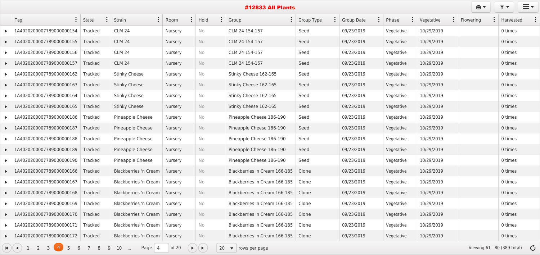|                       |                                                |                |                                 |                                 |                                             |            | <b>#12833 All Plants</b>           |                                     |                              |                         |                                | ê.                                    |           | $\equiv$ $\sim$ |  |
|-----------------------|------------------------------------------------|----------------|---------------------------------|---------------------------------|---------------------------------------------|------------|------------------------------------|-------------------------------------|------------------------------|-------------------------|--------------------------------|---------------------------------------|-----------|-----------------|--|
|                       | $\ddot{\cdot}$<br>Tag                          | State          | Strain                          | $\ddot{\cdot}$<br>$\vdots$ Room | Hold                                        | $\ddot{.}$ | Group                              | $\ddot{\cdot}$<br><b>Group Type</b> | $\ddot{\cdot}$<br>Group Date | $\ddot{\cdot}$<br>Phase | Vegetative<br>$\ddot{\bullet}$ | Flowering                             | Harvested |                 |  |
|                       | 20200007789000000154                           | <b>Tracked</b> | <b>CLM 24</b>                   | <b>Nursery</b>                  | No                                          |            | CLM 24 154-157                     | Seed                                | 09/23/2019                   | Vegetative              | 10/29/2019                     |                                       | 0 times   |                 |  |
|                       | 1A4020200007789000000155                       | Tracked        | <b>CLM 24</b>                   | Nursery                         | <b>No</b>                                   |            | CLM 24 154-157                     | Seed                                | 09/23/2019                   | Vegetative              | 10/29/2019                     |                                       | 0 times   |                 |  |
|                       | 020200007789000000156                          | Tracked        | <b>CLM 24</b>                   | <b>Nursery</b>                  | No                                          |            | CLM 24 154-157                     | Seed                                | 09/23/2019                   | Vegetative              | 10/29/2019                     |                                       | 0 times   |                 |  |
|                       | 1A4020200007789000000157                       | <b>Tracked</b> | <b>CLM 24</b>                   | Nursery                         | <b>No</b>                                   |            | CLM 24 154-157                     | Seed                                | 09/23/2019                   | Vegetative              | 10/29/2019                     |                                       | 0 times   |                 |  |
|                       | 020200007789000000162<br>1AA                   | <b>Tracked</b> | <b>Stinky Cheese</b>            | Nursery                         | No                                          |            | Stinky Cheese 162-165              | Seed                                | 09/23/2019                   | Vegetative              | 10/29/2019                     |                                       | 0 times   |                 |  |
|                       | 1A4020200007789000000163                       | <b>Tracked</b> | <b>Stinky Cheese</b>            | Nursery                         | <b>No</b>                                   |            | Stinky Cheese 162-165              | Seed                                | 09/23/2019                   | Vegetative              | 10/29/2019                     |                                       | 0 times   |                 |  |
|                       | 1A4020200007789000000164                       | <b>Tracked</b> | <b>Stinky Cheese</b>            | Nursery                         | No                                          |            | Stinky Cheese 162-165              | Seed                                | 09/23/2019                   | Vegetative              | 10/29/2019                     |                                       | 0 times   |                 |  |
|                       | 020200007789000000165                          | <b>Tracked</b> | <b>Stinky Cheese</b>            | Nursery                         | <b>No</b>                                   |            | Stinky Cheese 162-165              | Seed                                | 09/23/2019                   | Vegetative              | 10/29/2019                     |                                       | 0 times   |                 |  |
|                       | 1A4020200007789000000186                       | <b>Tracked</b> | Pineapple Cheese                | <b>Nursery</b>                  | No                                          |            | Pineapple Cheese 186-190           | Seed                                | 09/23/2019                   | Vegetative              | 10/29/2019                     |                                       | 0 times   |                 |  |
|                       | 020200007789000000187<br>1A4                   | <b>Tracked</b> | Pineapple Cheese                | Nursery                         | No                                          |            | Pineapple Cheese 186-190           | Seed                                | 09/23/2019                   | Vegetative              | 10/29/2019                     |                                       | 0 times   |                 |  |
|                       | 1A4020200007789000000188                       | <b>Tracked</b> | Pineapple Cheese                | Nursery                         | No                                          |            | Pineapple Cheese 186-190           | Seed                                | 09/23/2019                   | Vegetative              | 10/29/2019                     |                                       | 0 times   |                 |  |
|                       | 020200007789000000189                          | <b>Tracked</b> | Pineapple Cheese                | <b>Nursery</b>                  | <b>No</b>                                   |            | Pineapple Cheese 186-190           | Seed                                | 09/23/2019                   | Vegetative              | 10/29/2019                     |                                       | 0 times   |                 |  |
|                       | 020200007789000000190                          | Tracked        | Pineapple Cheese                | <b>Nursery</b>                  | No                                          |            | Pineapple Cheese 186-190           | Seed                                | 09/23/2019                   | Vegetative              | 10/29/2019                     |                                       | 0 times   |                 |  |
|                       | 1A4020200007789000000166                       | Tracked        | Blackberries 'n Cream           | Nursery                         | No                                          |            | Blackberries 'n Cream 166-185      | Clone                               | 09/23/2019                   | Vegetative              | 10/29/2019                     |                                       | 0 times   |                 |  |
|                       | 1A4020200007789000000167                       | Tracked        | <b>Blackberries 'n Cream</b>    | Nursery                         | No                                          |            | Blackberries 'n Cream 166-185      | Clone                               | 09/23/2019                   | Vegetative              | 10/29/2019                     |                                       | 0 times   |                 |  |
| $\blacktriangleright$ | 1A4020200007789000000168                       | Tracked        | Blackberries 'n Cream           | Nursery                         | <b>No</b>                                   |            | Blackberries 'n Cream 166-185      | Clone                               | 09/23/2019                   | Vegetative              | 10/29/2019                     |                                       | 0 times   |                 |  |
|                       | 1A4020200007789000000169                       | Tracked        | Blackberries 'n Cream           | Nursery                         | No                                          |            | Blackberries 'n Cream 166-185      | Clone                               | 09/23/2019                   | Vegetative              | 10/29/2019                     |                                       | 0 times   |                 |  |
|                       | $\blacktriangleright$ 1A4020200007789000000170 | Tracked        | Blackberries 'n Cream           | Nursery                         | No                                          |            | Blackberries 'n Cream 166-185      | Clone                               | 09/23/2019                   | Vegetative              | 10/29/2019                     |                                       | 0 times   |                 |  |
|                       | 1A4020200007789000000171                       | <b>Tracked</b> | <b>Blackberries 'n Cream</b>    | Nursery                         | No                                          |            | Blackberries 'n Cream 166-185      | Clone                               | 09/23/2019                   | Vegetative              | 10/29/2019                     |                                       | 0 times   |                 |  |
|                       | $\blacktriangleright$ 1A4020200007789000000172 | Tracked        | Blackberries 'n Cream   Nursery |                                 | No                                          |            | Blackberries 'n Cream 166-185      | Clone                               | 09/23/2019                   | Vegetative              | 10/29/2019                     |                                       | 0 times   |                 |  |
|                       | $(A)(-1)$ 1 2 3 $(4)$<br>5<br>6                | 8<br>9         | 10<br>Page $4$<br>$\sim$ $\sim$ | of $20$                         | $\blacktriangleright)(\blacktriangleright)$ | 20         | $\blacktriangledown$ rows per page |                                     |                              |                         |                                | Viewing 61 - 80 (389 total) $\bullet$ |           |                 |  |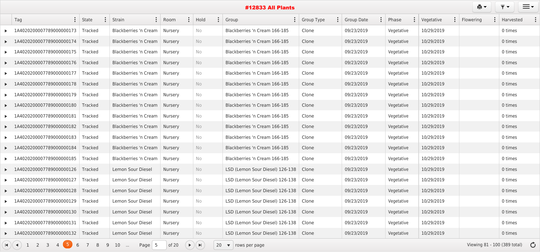|                                                |                |                                      |                           |                                             | <b>#12833 All Plants</b>                |                     |                     |                         |            | e.        | $\equiv$ $\sim$                        |
|------------------------------------------------|----------------|--------------------------------------|---------------------------|---------------------------------------------|-----------------------------------------|---------------------|---------------------|-------------------------|------------|-----------|----------------------------------------|
| Tag                                            | $\vdots$ State | Strain                               | $\vdots$ Room<br>$\vdots$ | $\ddot{\cdot}$<br>Hold                      | Group                                   | $\vdots$ Group Type | $\vdots$ Group Date | $\ddot{\cdot}$<br>Phase | Vegetative | Flowering | $\vdots$ Harvested                     |
| 1A4020200007789000000173                       | <b>Tracked</b> | Blackberries 'n Cream                | Nursery                   | No                                          | Blackberries 'n Cream 166-185           | Clone               | 09/23/2019          | Vegetative              | 10/29/2019 |           | 0 times                                |
| 1A4020200007789000000174                       | Tracked        | Blackberries 'n Cream   Nursery      |                           | No                                          | Blackberries 'n Cream 166-185           | Clone               | 09/23/2019          | Vegetative              | 10/29/2019 |           | 0 times                                |
| 1A4020200007789000000175                       | Tracked        | Blackberries 'n Cream   Nursery      |                           | <b>No</b>                                   | Blackberries 'n Cream 166-185           | Clone               | 09/23/2019          | Vegetative              | 10/29/2019 |           | 0 times                                |
| 1A4020200007789000000176                       | Tracked        | Blackberries 'n Cream   Nursery      |                           | No                                          | Blackberries 'n Cream 166-185           | Clone               | 09/23/2019          | Vegetative              | 10/29/2019 |           | 0 times                                |
| 1A4020200007789000000177                       | Tracked        | Blackberries 'n Cream   Nursery      |                           | No                                          | Blackberries 'n Cream 166-185           | Clone               | 09/23/2019          | Vegetative              | 10/29/2019 |           | 0 times                                |
| 1A4020200007789000000178                       | Tracked        | Blackberries 'n Cream   Nursery      |                           | No                                          | Blackberries 'n Cream 166-185           | Clone               | 09/23/2019          | Vegetative              | 10/29/2019 |           | 0 times                                |
| 1A4020200007789000000179                       | Tracked        | Blackberries 'n Cream   Nursery      |                           | No                                          | Blackberries 'n Cream 166-185           | Clone               | 09/23/2019          | Vegetative              | 10/29/2019 |           | 0 times                                |
| 1A4020200007789000000180                       | Tracked        | Blackberries 'n Cream   Nursery      |                           | No                                          | Blackberries 'n Cream 166-185           | Clone               | 09/23/2019          | Vegetative              | 10/29/2019 |           | 0 times                                |
| 1A4020200007789000000181                       | Tracked        | Blackberries 'n Cream   Nursery      |                           | No                                          | Blackberries 'n Cream 166-185           | Clone               | 09/23/2019          | Vegetative              | 10/29/2019 |           | 0 times                                |
| 1A4020200007789000000182                       | <b>Tracked</b> | Blackberries 'n Cream   Nursery      |                           | No                                          | Blackberries 'n Cream 166-185           | Clone               | 09/23/2019          | Vegetative              | 10/29/2019 |           | 0 times                                |
| 1A4020200007789000000183                       | Tracked        | Blackberries 'n Cream   Nursery      |                           | No                                          | Blackberries 'n Cream 166-185           | Clone               | 09/23/2019          | Vegetative              | 10/29/2019 |           | 0 times                                |
| 1A4020200007789000000184                       | Tracked        | Blackberries 'n Cream   Nursery      |                           | No                                          | Blackberries 'n Cream 166-185           | Clone               | 09/23/2019          | Vegetative              | 10/29/2019 |           | 0 times                                |
| 1A4020200007789000000185                       | Tracked        | Blackberries 'n Cream   Nursery      |                           | <b>No</b>                                   | Blackberries 'n Cream 166-185           | Clone               | 09/23/2019          | Vegetative              | 10/29/2019 |           | 0 times                                |
| 1A4020200007789000000126                       | Tracked        | Lemon Sour Diesel                    | Nursery                   | <b>No</b>                                   | LSD (Lemon Sour Diesel) 126-138         | Clone               | 09/23/2019          | Vegetative              | 10/29/2019 |           | 0 times                                |
| $\blacktriangleright$ 1A4020200007789000000127 | <b>Tracked</b> | Lemon Sour Diesel                    | Nursery                   | No                                          | LSD (Lemon Sour Diesel) 126-138         | Clone               | 09/23/2019          | Vegetative              | 10/29/2019 |           | 0 times                                |
| LA4020200007789000000128                       | Tracked        | Lemon Sour Diesel                    | Nursery                   | No                                          | LSD (Lemon Sour Diesel) 126-138         | Clone               | 09/23/2019          | Vegetative              | 10/29/2019 |           | 0 times                                |
| $\blacktriangleright$ 1A4020200007789000000129 | Tracked        | Lemon Sour Diesel                    | Nursery                   | No                                          | LSD (Lemon Sour Diesel) 126-138         | Clone               | 09/23/2019          | Vegetative              | 10/29/2019 |           | 0 times                                |
| LA4020200007789000000130                       | Tracked        | Lemon Sour Diesel                    | Nursery                   | No                                          | LSD (Lemon Sour Diesel) 126-138   Clone |                     | 09/23/2019          | Vegetative              | 10/29/2019 |           | 0 times                                |
| 1A4020200007789000000131                       | Tracked        | Lemon Sour Diesel                    | Nursery                   | No                                          | LSD (Lemon Sour Diesel) 126-138         | Clone               | 09/23/2019          | Vegetative              | 10/29/2019 |           | 0 times                                |
| $\blacktriangleright$ 1A4020200007789000000132 | Tracked        | Lemon Sour Diesel                    | Nursery                   | No                                          | LSD (Lemon Sour Diesel) 126-138         | Clone               | 09/23/2019          | Vegetative              | 10/29/2019 |           | 0 times                                |
| (A)(4) 1 2 3<br>4(5)<br>6                      | 78<br>9        | 10<br>Page $\vert 5 \vert$<br>$\sim$ | of $20$                   | $\blacktriangleright)(\blacktriangleright)$ | 20 $\bullet$ rows per page              |                     |                     |                         |            |           | Viewing 81 - 100 (389 total) $\bullet$ |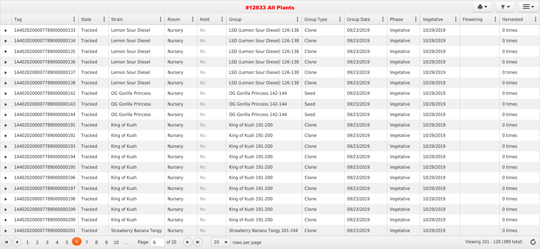| $\vdots$<br>Tag                                        | State                    | $\vdots$<br>Strain             | $\ddot{\cdot}$<br>Room                   | Hold | $\ddot{\cdot}$ | Group                                   | : Group Type | <b>Group Date</b> | Phase<br>$\bullet$ | Vegetative<br>$\bullet$ | Flowering                     | Harvested     |
|--------------------------------------------------------|--------------------------|--------------------------------|------------------------------------------|------|----------------|-----------------------------------------|--------------|-------------------|--------------------|-------------------------|-------------------------------|---------------|
| 1A4020200007789000000133                               | Tracked                  | Lemon Sour Diesel              | Nursery                                  | No   |                | LSD (Lemon Sour Diesel) 126-138         | Clone        | 09/23/2019        | Vegetative         | 10/29/2019              |                               | 0 times       |
| LA4020200007789000000134                               | Tracked                  | Lemon Sour Diesel              | Nursery                                  | No   |                | LSD (Lemon Sour Diesel) 126-138   Clone |              | 09/23/2019        | Vegetative         | 10/29/2019              |                               | 0 times       |
| 1A4020200007789000000135                               | <b>Tracked</b>           | Lemon Sour Diesel              | Nursery                                  | No   |                | LSD (Lemon Sour Diesel) 126-138         | Clone        | 09/23/2019        | Vegetative         | 10/29/2019              |                               | 0 times       |
| 1A4020200007789000000136                               | <b>Tracked</b>           | Lemon Sour Diesel              | Nursery                                  | No   |                | LSD (Lemon Sour Diesel) 126-138   Clone |              | 09/23/2019        | Vegetative         | 10/29/2019              |                               | 0 times       |
| 1A4020200007789000000137                               | Tracked                  | Lemon Sour Diesel              | Nursery                                  | No   |                | LSD (Lemon Sour Diesel) 126-138         | Clone        | 09/23/2019        | Vegetative         | 10/29/2019              |                               | 0 times       |
| 1A4020200007789000000138                               | Tracked                  | Lemon Sour Diesel              | Nursery                                  | No   |                | LSD (Lemon Sour Diesel) 126-138         | Clone        | 09/23/2019        | Vegetative         | 10/29/2019              |                               | 0 times       |
| 1A4020200007789000000142                               | Tracked                  | <b>OG Gorilla Princess</b>     | Nursery                                  | No   |                | OG Gorilla Princess 142-144             | Seed         | 09/23/2019        | Vegetative         | 10/29/2019              |                               | 0 times       |
| 1A4020200007789000000143                               | <b>Tracked</b>           | <b>OG Gorilla Princess</b>     | <b>Nursery</b>                           | No   |                | OG Gorilla Princess 142-144             | Seed         | 09/23/2019        | Vegetative         | 10/29/2019              |                               | 0 times       |
| 1A4020200007789000000144                               | <b>Tracked</b>           | <b>OG Gorilla Princess</b>     | Nursery                                  | No   |                | OG Gorilla Princess 142-144             | Seed         | 09/23/2019        | Vegetative         | 10/29/2019              |                               | 0 times       |
| 1A4020200007789000000191                               | Tracked                  | King of Kush                   | Nursery                                  | No   |                | King of Kush 191-200                    | Clone        | 09/23/2019        | Vegetative         | 10/29/2019              |                               | 0 times       |
| 1A4020200007789000000192                               | Tracked                  | King of Kush                   | Nursery                                  | No   |                | King of Kush 191-200                    | Clone        | 09/23/2019        | Vegetative         | 10/29/2019              |                               | 0 times       |
| $\blacktriangleright$ 1A4020200007789000000193         | Tracked                  | King of Kush                   | Nursery                                  | No   |                | King of Kush 191-200                    | Clone        | 09/23/2019        | Vegetative         | 10/29/2019              |                               | 0 times       |
| 1A4020200007789000000194                               | <b>Tracked</b>           | King of Kush                   | Nursery                                  | No   |                | King of Kush 191-200                    | Clone        | 09/23/2019        | Vegetative         | 10/29/2019              |                               | 0 times       |
| 1A4020200007789000000195                               | <b>Tracked</b>           | King of Kush                   | <b>Nursery</b>                           | No   |                | King of Kush 191-200                    | Clone        | 09/23/2019        | Vegetative         | 10/29/2019              |                               | 0 times       |
| 1A4020200007789000000196                               | <b>Tracked</b>           | King of Kush                   | Nursery                                  | No   |                | King of Kush 191-200                    | Clone        | 09/23/2019        | Vegetative         | 10/29/2019              |                               | 0 times       |
| $\blacktriangleright$ 1A4020200007789000000197         | Tracked                  | King of Kush                   | Nursery                                  | No   |                | King of Kush 191-200                    | Clone        | 09/23/2019        | Vegetative         | 10/29/2019              |                               | 0 times       |
| 1A4020200007789000000198                               | Tracked                  | King of Kush                   | Nursery                                  | No   |                | King of Kush 191-200                    | Clone        | 09/23/2019        | Vegetative         | 10/29/2019              |                               | 0 times       |
| $\blacktriangleright$ 1A4020200007789000000199         | Tracked                  | King of Kush                   | Nursery                                  | No   |                | King of Kush 191-200                    | Clone        | 09/23/2019        | Vegetative         | 10/29/2019              |                               | 0 times       |
| 1A4020200007789000000200                               | Tracked                  | King of Kush                   | Nursery                                  | No   |                | King of Kush 191-200                    | Clone        | 09/23/2019        | Vegetative         | 10/29/2019              |                               | 0 times       |
| $\blacktriangleright$ 1A4020200007789000000201         | Tracked                  | <b>Strawberry Banana Tangy</b> | Nursery                                  | No   |                | Strawberry Banana Tangy 201-244         | Clone        | 09/23/2019        | Vegetative         | 10/29/2019              |                               | 0 times       |
| $\mathbf{H}$ $($ 4 $)$ 1<br>$\sim$ 2<br>5 <sup>0</sup> | $\overline{7}$<br>8<br>9 | Page $6$<br>10<br>$\sim$       | of 20 $(\triangleright)(\triangleright)$ |      |                | $20 \bullet$ rows per page              |              |                   |                    |                         | Viewing 101 - 120 (389 total) | $\mathcal{C}$ |

 $\mathbf{e}$   $\mathbf{v}$   $\mathbf{v}$   $\mathbf{v}$   $\mathbf{v}$   $\mathbf{v}$   $\mathbf{v}$   $\mathbf{v}$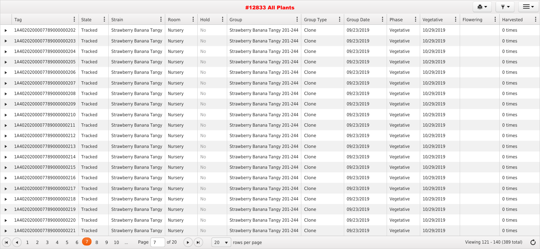|                                                                            |                         |                                   |                                        |                  |      |    | <b>#12833 All Plants</b>                |                     |                   |            |            | ê,        | ≡∙                                      |
|----------------------------------------------------------------------------|-------------------------|-----------------------------------|----------------------------------------|------------------|------|----|-----------------------------------------|---------------------|-------------------|------------|------------|-----------|-----------------------------------------|
| $\vdots$<br>Tag                                                            | $\ddot{\cdot}$<br>State | Strain                            | Room                                   |                  | Hold |    | Group                                   | $\vdots$ Group Type | <b>Group Date</b> | Phase      | Vegetative | Flowering | Harvested                               |
| 1A4020200007789000000202                                                   | Tracked                 | Strawberry Banana Tangy           | Nursery                                |                  | No   |    | Strawberry Banana Tangy 201-244   Clone |                     | 09/23/2019        | Vegetative | 10/29/2019 |           | 0 times                                 |
| 1A4020200007789000000203                                                   | Tracked                 | <b>Strawberry Banana Tangy</b>    | Nursery                                |                  | No   |    | Strawberry Banana Tangy 201-244   Clone |                     | 09/23/2019        | Vegetative | 10/29/2019 |           | 0 times                                 |
| 1A4020200007789000000204                                                   | Tracked                 | <b>Strawberry Banana Tangy</b>    | Nursery                                |                  | No   |    | Strawberry Banana Tangy 201-244   Clone |                     | 09/23/2019        | Vegetative | 10/29/2019 |           | 0 times                                 |
| 1A4020200007789000000205                                                   | Tracked                 | Strawberry Banana Tangy           | Nursery                                |                  | No   |    | Strawberry Banana Tangy 201-244   Clone |                     | 09/23/2019        | Vegetative | 10/29/2019 |           | 0 times                                 |
| 1A4020200007789000000206                                                   | Tracked                 | Strawberry Banana Tangy           | Nursery                                |                  | No   |    | Strawberry Banana Tangy 201-244   Clone |                     | 09/23/2019        | Vegetative | 10/29/2019 |           | 0 times                                 |
| 1A4020200007789000000207                                                   | Tracked                 | Strawberry Banana Tangy           | Nursery                                |                  | No   |    | Strawberry Banana Tangy 201-244   Clone |                     | 09/23/2019        | Vegetative | 10/29/2019 |           | 0 times                                 |
| 1A4020200007789000000208                                                   | Tracked                 | <b>Strawberry Banana Tangy</b>    | Nursery                                |                  | No   |    | Strawberry Banana Tangy 201-244   Clone |                     | 09/23/2019        | Vegetative | 10/29/2019 |           | 0 times                                 |
| 1A4020200007789000000209                                                   | Tracked                 | Strawberry Banana Tangy           | Nursery                                |                  | No   |    | Strawberry Banana Tangy 201-244   Clone |                     | 09/23/2019        | Vegetative | 10/29/2019 |           | 0 times                                 |
| 1A4020200007789000000210                                                   | Tracked                 | Strawberry Banana Tangy           | Nursery                                |                  | No   |    | Strawberry Banana Tangy 201-244   Clone |                     | 09/23/2019        | Vegetative | 10/29/2019 |           | 0 times                                 |
| 1A4020200007789000000211                                                   | Tracked                 | Strawberry Banana Tangy           | Nursery                                |                  | No   |    | Strawberry Banana Tangy 201-244   Clone |                     | 09/23/2019        | Vegetative | 10/29/2019 |           | 0 times                                 |
| 1A4020200007789000000212                                                   | Tracked                 | <b>Strawberry Banana Tangy</b>    | Nursery                                |                  | No   |    | Strawberry Banana Tangy 201-244   Clone |                     | 09/23/2019        | Vegetative | 10/29/2019 |           | 0 times                                 |
| 1A4020200007789000000213                                                   | Tracked                 | Strawberry Banana Tangy           | Nursery                                |                  | No   |    | Strawberry Banana Tangy 201-244   Clone |                     | 09/23/2019        | Vegetative | 10/29/2019 |           | 0 times                                 |
| 1A4020200007789000000214                                                   | Tracked                 | Strawberry Banana Tangy           | Nursery                                |                  | No   |    | Strawberry Banana Tangy 201-244   Clone |                     | 09/23/2019        | Vegetative | 10/29/2019 |           | 0 times                                 |
| 1A4020200007789000000215 Tracked                                           |                         | Strawberry Banana Tangy           | Nursery                                |                  | No   |    | Strawberry Banana Tangy 201-244   Clone |                     | 09/23/2019        | Vegetative | 10/29/2019 |           | 0 times                                 |
| LA4020200007789000000216                                                   | Tracked                 | Strawberry Banana Tangy           | Nursery                                |                  | No   |    | Strawberry Banana Tangy 201-244   Clone |                     | 09/23/2019        | Vegetative | 10/29/2019 |           | 0 times                                 |
| $\blacktriangleright$ 1A4020200007789000000217                             | Tracked                 | Strawberry Banana Tangy           | Nursery                                |                  | No   |    | Strawberry Banana Tangy 201-244   Clone |                     | 09/23/2019        | Vegetative | 10/29/2019 |           | 0 times                                 |
| 1A4020200007789000000218                                                   | Tracked                 | Strawberry Banana Tangy           | Nursery                                |                  | No   |    | Strawberry Banana Tangy 201-244   Clone |                     | 09/23/2019        | Vegetative | 10/29/2019 |           | 0 times                                 |
| $\blacktriangleright$ 1A4020200007789000000219                             | Tracked                 | <b>Strawberry Banana Tangy</b>    | Nursery                                |                  | No   |    | Strawberry Banana Tangy 201-244   Clone |                     | 09/23/2019        | Vegetative | 10/29/2019 |           | 0 times                                 |
| 1A4020200007789000000220                                                   | Tracked                 | <b>Strawberry Banana Tangy</b>    | Nursery                                |                  | No   |    | Strawberry Banana Tangy 201-244   Clone |                     | 09/23/2019        | Vegetative | 10/29/2019 |           | 0 times                                 |
| $\blacktriangleright$ 1A4020200007789000000221                             | Tracked                 | Strawberry Banana Tangy   Nursery |                                        |                  | No   |    | Strawberry Banana Tangy 201-244   Clone |                     | 09/23/2019        | Vegetative | 10/29/2019 |           | 0 times                                 |
| $\mathbf{H}$ $\mathbf{H}$ $\mathbf{H}$ $\mathbf{H}$<br>2<br>$\overline{3}$ | $6\sqrt{7}8$<br>9       | Page 7<br>10<br>$\sim$            | of 20<br>$($ $\blacktriangleright$ $)$ | $(\blacksquare)$ |      | 20 | $\blacktriangledown$   rows per page    |                     |                   |            |            |           | Viewing 121 - 140 (389 total) $\bullet$ |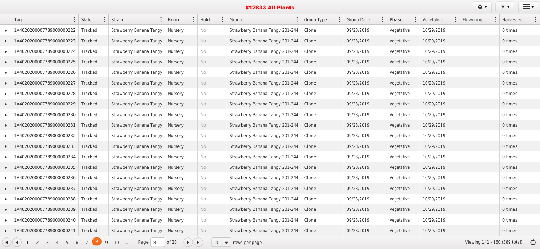|                                                          |                                  |                                   |                                        |                |      |    | <b>#12833 All Plants</b>                |                     |                   |            |                               | 真子                            |           | $\equiv$      |
|----------------------------------------------------------|----------------------------------|-----------------------------------|----------------------------------------|----------------|------|----|-----------------------------------------|---------------------|-------------------|------------|-------------------------------|-------------------------------|-----------|---------------|
| Tag                                                      | $\ddot{\cdot}$<br>$\vdots$ State | Strain                            | $\vdots$ Room                          |                | Hold |    | Group                                   | $\vdots$ Group Type | <b>Group Date</b> | Phase      | Vegetative<br>$\cdot$ $\cdot$ | Flowering                     | Harvested |               |
| 1A4020200007789000000222                                 | Tracked                          | <b>Strawberry Banana Tangy</b>    | Nursery                                |                | No   |    | Strawberry Banana Tangy 201-244   Clone |                     | 09/23/2019        | Vegetative | 10/29/2019                    |                               | 0 times   |               |
| 1A4020200007789000000223                                 | Tracked                          | Strawberry Banana Tangy           | Nursery                                |                | No   |    | Strawberry Banana Tangy 201-244   Clone |                     | 09/23/2019        | Vegetative | 10/29/2019                    |                               | 0 times   |               |
| 1A4020200007789000000224                                 | Tracked                          | <b>Strawberry Banana Tangy</b>    | Nursery                                |                | No   |    | Strawberry Banana Tangy 201-244   Clone |                     | 09/23/2019        | Vegetative | 10/29/2019                    |                               | 0 times   |               |
| 1A4020200007789000000225                                 | Tracked                          | <b>Strawberry Banana Tangy</b>    | Nursery                                |                | No   |    | Strawberry Banana Tangy 201-244   Clone |                     | 09/23/2019        | Vegetative | 10/29/2019                    |                               | 0 times   |               |
| 1A4020200007789000000226                                 | Tracked                          | Strawberry Banana Tangy           | Nursery                                |                | No   |    | Strawberry Banana Tangy 201-244   Clone |                     | 09/23/2019        | Vegetative | 10/29/2019                    |                               | 0 times   |               |
| 1A4020200007789000000227                                 | Tracked                          | Strawberry Banana Tangy           | Nursery                                |                | No   |    | Strawberry Banana Tangy 201-244   Clone |                     | 09/23/2019        | Vegetative | 10/29/2019                    |                               | 0 times   |               |
| 1A4020200007789000000228                                 | Tracked                          | Strawberry Banana Tangy           | Nursery                                |                | No   |    | Strawberry Banana Tangy 201-244   Clone |                     | 09/23/2019        | Vegetative | 10/29/2019                    |                               | 0 times   |               |
| 1A4020200007789000000229                                 | Tracked                          | Strawberry Banana Tangy           | Nursery                                |                | No   |    | Strawberry Banana Tangy 201-244   Clone |                     | 09/23/2019        | Vegetative | 10/29/2019                    |                               | 0 times   |               |
| 1A4020200007789000000230                                 | Tracked                          | Strawberry Banana Tangy           | Nursery                                |                | No   |    | Strawberry Banana Tangy 201-244   Clone |                     | 09/23/2019        | Vegetative | 10/29/2019                    |                               | 0 times   |               |
| 1A4020200007789000000231                                 | Tracked                          | Strawberry Banana Tangy           | Nursery                                |                | No   |    | Strawberry Banana Tangy 201-244   Clone |                     | 09/23/2019        | Vegetative | 10/29/2019                    |                               | 0 times   |               |
| 1A4020200007789000000232                                 | Tracked                          | Strawberry Banana Tangy           | Nursery                                |                | No   |    | Strawberry Banana Tangy 201-244   Clone |                     | 09/23/2019        | Vegetative | 10/29/2019                    |                               | 0 times   |               |
| 1A4020200007789000000233                                 | Tracked                          | Strawberry Banana Tangy           | Nursery                                |                | No   |    | Strawberry Banana Tangy 201-244   Clone |                     | 09/23/2019        | Vegetative | 10/29/2019                    |                               | 0 times   |               |
| 1A4020200007789000000234                                 | Tracked                          | Strawberry Banana Tangy           | Nursery                                |                | No   |    | Strawberry Banana Tangy 201-244   Clone |                     | 09/23/2019        | Vegetative | 10/29/2019                    |                               | 0 times   |               |
| 1A4020200007789000000235                                 | Tracked                          | <b>Strawberry Banana Tangy</b>    | Nursery                                |                | No   |    | Strawberry Banana Tangy 201-244   Clone |                     | 09/23/2019        | Vegetative | 10/29/2019                    |                               | 0 times   |               |
| LA4020200007789000000236                                 | Tracked                          | Strawberry Banana Tangy           | Nursery                                |                | No   |    | Strawberry Banana Tangy 201-244   Clone |                     | 09/23/2019        | Vegetative | 10/29/2019                    |                               | 0 times   |               |
| LA4020200007789000000237                                 | Tracked                          | Strawberry Banana Tangy           | Nursery                                |                | No   |    | Strawberry Banana Tangy 201-244   Clone |                     | 09/23/2019        | Vegetative | 10/29/2019                    |                               | 0 times   |               |
| 1A4020200007789000000238                                 | Tracked                          | Strawberry Banana Tangy           | Nursery                                |                | No   |    | Strawberry Banana Tangy 201-244   Clone |                     | 09/23/2019        | Vegetative | 10/29/2019                    |                               | 0 times   |               |
| 1A4020200007789000000239                                 | Tracked                          | <b>Strawberry Banana Tangy</b>    | Nursery                                |                | No   |    | Strawberry Banana Tangy 201-244   Clone |                     | 09/23/2019        | Vegetative | 10/29/2019                    |                               | 0 times   |               |
| 1A4020200007789000000240                                 | Tracked                          | Strawberry Banana Tangy           | Nursery                                |                | No   |    | Strawberry Banana Tangy 201-244   Clone |                     | 09/23/2019        | Vegetative | 10/29/2019                    |                               | 0 times   |               |
| ▶ 1A4020200007789000000241                               | Tracked                          | Strawberry Banana Tangy   Nursery |                                        |                | No   |    | Strawberry Banana Tangy 201-244   Clone |                     | 09/23/2019        | Vegetative | 10/29/2019                    |                               | 0 times   |               |
| $\mathbf{H}$ $\mathbf{H}$ $\mathbf{H}$ $\mathbf{H}$<br>6 | 9                                | Page $8$<br>10<br>$\sim$          | of 20<br>$($ $\blacktriangleright$ $)$ | $\blacksquare$ |      | 20 | $\blacktriangledown$ rows per page      |                     |                   |            |                               | Viewing 141 - 160 (389 total) |           | $\mathcal{C}$ |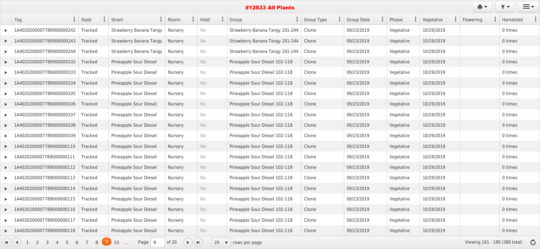| ê.<br><b>#12833 All Plants</b><br>$\ddot{\cdot}$<br>$\ddot{\cdot}$<br>$\ddot{\cdot}$<br>$\vdots$<br>$:$ State<br>$\vdots$ Group<br>$\vdots$<br>Hold |         |                                |                                          |                       |     |  |                                    |            |                   |  |            |  |            | $\equiv$ $\sim$<br>$\blacktriangledown$ |  |           |  |
|-----------------------------------------------------------------------------------------------------------------------------------------------------|---------|--------------------------------|------------------------------------------|-----------------------|-----|--|------------------------------------|------------|-------------------|--|------------|--|------------|-----------------------------------------|--|-----------|--|
| Tag                                                                                                                                                 |         | Strain                         | Room                                     |                       |     |  |                                    | Group Type | <b>Group Date</b> |  | Phase      |  | Vegetative | Flowering                               |  | Harvested |  |
| 20200007789000000242<br>1A402                                                                                                                       | Tracked | <b>Strawberry Banana Tangy</b> | Nursery                                  |                       | No  |  | Strawberry Banana Tangy 201-244    | Clone      | 09/23/2019        |  | Vegetative |  | 10/29/2019 |                                         |  | 0 times   |  |
| 1A4020200007789000000243                                                                                                                            | Tracked | <b>Strawberry Banana Tangy</b> | Nursery                                  |                       | No  |  | Strawberry Banana Tangy 201-244    | Clone      | 09/23/2019        |  | Vegetative |  | 10/29/2019 |                                         |  | 0 times   |  |
| 1A4020200007789000000244                                                                                                                            | Tracked | <b>Strawberry Banana Tangy</b> | Nursery                                  |                       | No  |  | Strawberry Banana Tangy 201-244    | Clone      | 09/23/2019        |  | Vegetative |  | 10/29/2019 |                                         |  | 0 times   |  |
| 1A4020200007789000000102                                                                                                                            | Tracked | Pineapple Sour Diesel          | Nursery                                  |                       | No  |  | Pineapple Sour Diesel 102-118      | Clone      | 09/23/2019        |  | Vegetative |  | 10/29/2019 |                                         |  | 0 times   |  |
| 1A4020200007789000000103                                                                                                                            | Tracked | Pineapple Sour Diesel          | Nursery                                  |                       | No  |  | Pineapple Sour Diesel 102-118      | Clone      | 09/23/2019        |  | Vegetative |  | 10/29/2019 |                                         |  | 0 times   |  |
| 1A4020200007789000000104                                                                                                                            | Tracked | Pineapple Sour Diesel          | Nursery                                  |                       | No  |  | Pineapple Sour Diesel 102-118      | Clone      | 09/23/2019        |  | Vegetative |  | 10/29/2019 |                                         |  | 0 times   |  |
| 1A4020200007789000000105                                                                                                                            | Tracked | Pineapple Sour Diesel          | Nursery                                  |                       | No  |  | Pineapple Sour Diesel 102-118      | Clone      | 09/23/2019        |  | Vegetative |  | 10/29/2019 |                                         |  | 0 times   |  |
| 1A4020200007789000000106                                                                                                                            | Tracked | Pineapple Sour Diesel          | Nursery                                  |                       | No  |  | Pineapple Sour Diesel 102-118      | Clone      | 09/23/2019        |  | Vegetative |  | 10/29/2019 |                                         |  | 0 times   |  |
| 1A4020200007789000000107                                                                                                                            | Tracked | Pineapple Sour Diesel          | Nursery                                  |                       | No. |  | Pineapple Sour Diesel 102-118      | Clone      | 09/23/2019        |  | Vegetative |  | 10/29/2019 |                                         |  | 0 times   |  |
| 020200007789000000108<br>1AA                                                                                                                        | Tracked | Pineapple Sour Diesel          | Nursery                                  |                       | No  |  | Pineapple Sour Diesel 102-118      | Clone      | 09/23/2019        |  | Vegetative |  | 10/29/2019 |                                         |  | 0 times   |  |
| 1A4020200007789000000109                                                                                                                            | Tracked | Pineapple Sour Diesel          | Nursery                                  |                       | No. |  | Pineapple Sour Diesel 102-118      | Clone      | 09/23/2019        |  | Vegetative |  | 10/29/2019 |                                         |  | 0 times   |  |
| 1A4020200007789000000110                                                                                                                            | Tracked | Pineapple Sour Diesel          | Nursery                                  |                       | No  |  | Pineapple Sour Diesel 102-118      | Clone      | 09/23/2019        |  | Vegetative |  | 10/29/2019 |                                         |  | 0 times   |  |
| 1A4020200007789000000111                                                                                                                            | Tracked | Pineapple Sour Diesel          | Nursery                                  |                       | No  |  | Pineapple Sour Diesel 102-118      | Clone      | 09/23/2019        |  | Vegetative |  | 10/29/2019 |                                         |  | 0 times   |  |
| 1A4020200007789000000112                                                                                                                            | Tracked | Pineapple Sour Diesel          | Nursery                                  |                       | No. |  | Pineapple Sour Diesel 102-118      | Clone      | 09/23/2019        |  | Vegetative |  | 10/29/2019 |                                         |  | 0 times   |  |
| 1A4020200007789000000113                                                                                                                            | Tracked | Pineapple Sour Diesel          | Nursery                                  |                       | No  |  | Pineapple Sour Diesel 102-118      | Clone      | 09/23/2019        |  | Vegetative |  | 10/29/2019 |                                         |  | 0 times   |  |
| $\blacktriangleright$ 1A4020200007789000000114                                                                                                      | Tracked | Pineapple Sour Diesel          | Nursery                                  |                       | No  |  | Pineapple Sour Diesel 102-118      | Clone      | 09/23/2019        |  | Vegetative |  | 10/29/2019 |                                         |  | 0 times   |  |
| 1A4020200007789000000115                                                                                                                            | Tracked | Pineapple Sour Diesel          | Nursery                                  |                       | No  |  | Pineapple Sour Diesel 102-118      | Clone      | 09/23/2019        |  | Vegetative |  | 10/29/2019 |                                         |  | 0 times   |  |
| $\blacktriangleright$ 1A4020200007789000000116                                                                                                      | Tracked | Pineapple Sour Diesel          | Nursery                                  |                       | No  |  | Pineapple Sour Diesel 102-118      | Clone      | 09/23/2019        |  | Vegetative |  | 10/29/2019 |                                         |  | 0 times   |  |
| 1A4020200007789000000117                                                                                                                            | Tracked | Pineapple Sour Diesel          | Nursery                                  |                       | No  |  | Pineapple Sour Diesel 102-118      | Clone      | 09/23/2019        |  | Vegetative |  | 10/29/2019 |                                         |  | 0 times   |  |
| ▶ 1A4020200007789000000118                                                                                                                          | Tracked | Pineapple Sour Diesel          | Nursery                                  |                       | No  |  | Pineapple Sour Diesel 102-118      | Clone      | 09/23/2019        |  | Vegetative |  | 10/29/2019 |                                         |  | 0 times   |  |
| 5<br>H(1)<br>$\overline{2}$<br>6<br>$\overline{3}$<br>$\mathbf{1}$                                                                                  | 89      | 10<br>Page $\vert$ 9<br>$\sim$ | of $20$<br>$($ $\blacktriangleright$ $)$ | $\blacktriangleright$ | 20  |  | $\blacktriangledown$ rows per page |            |                   |  |            |  |            | Viewing 161 - 180 (389 total) $\bullet$ |  |           |  |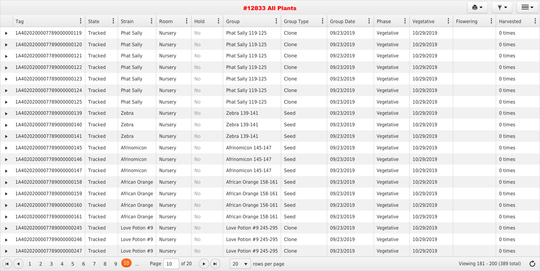| Tag                                                                                       | State          | Strain                   | Room<br>$\ddot{\cdot}$ | Hold                                        | Group<br>$\ddot{\bullet}$                | <b>Group Type</b> | <b>Group Date</b> | Phase<br>$\ddot{\bullet}$ | Vegetative<br>$\ddot{\cdot}$ | Flowering | Harvested                               |
|-------------------------------------------------------------------------------------------|----------------|--------------------------|------------------------|---------------------------------------------|------------------------------------------|-------------------|-------------------|---------------------------|------------------------------|-----------|-----------------------------------------|
| 1A4020200007789000000119                                                                  | <b>Tracked</b> | <b>Phat Sally</b>        | <b>Nursery</b>         | No                                          | <b>Phat Sally 119-125</b>                | Clone             | 09/23/2019        | Vegetative                | 10/29/2019                   |           | 0 times                                 |
| 1A4020200007789000000120                                                                  | Tracked        | <b>Phat Sally</b>        | Nursery                | No                                          | <b>Phat Sally 119-125</b>                | Clone             | 09/23/2019        | Vegetative                | 10/29/2019                   |           | 0 times                                 |
| 1A4020200007789000000121                                                                  | Tracked        | <b>Phat Sally</b>        | <b>Nursery</b>         | No                                          | <b>Phat Sally 119-125</b>                | Clone             | 09/23/2019        | Vegetative                | 10/29/2019                   |           | 0 times                                 |
| 1A4020200007789000000122                                                                  | <b>Tracked</b> | <b>Phat Sally</b>        | Nursery                | No                                          | <b>Phat Sally 119-125</b>                | Clone             | 09/23/2019        | Vegetative                | 10/29/2019                   |           | 0 times                                 |
| 1A4020200007789000000123                                                                  | <b>Tracked</b> | <b>Phat Sally</b>        | <b>Nursery</b>         | No                                          | <b>Phat Sally 119-125</b>                | Clone             | 09/23/2019        | Vegetative                | 10/29/2019                   |           | 0 times                                 |
| 1A4020200007789000000124                                                                  | <b>Tracked</b> | <b>Phat Sally</b>        | Nursery                | No                                          | <b>Phat Sally 119-125</b>                | Clone             | 09/23/2019        | Vegetative                | 10/29/2019                   |           | 0 times                                 |
| 1A4020200007789000000125                                                                  | Tracked        | <b>Phat Sally</b>        | Nursery                | No                                          | <b>Phat Sally 119-125</b>                | Clone             | 09/23/2019        | Vegetative                | 10/29/2019                   |           | 0 times                                 |
| 1A4020200007789000000139                                                                  | <b>Tracked</b> | Zebra                    | <b>Nursery</b>         | No                                          | Zebra 139-141                            | Seed              | 09/23/2019        | Vegetative                | 10/29/2019                   |           | 0 times                                 |
| 1A4020200007789000000140                                                                  | Tracked        | Zebra                    | <b>Nursery</b>         | No                                          | Zebra 139-141                            | Seed              | 09/23/2019        | Vegetative                | 10/29/2019                   |           | 0 times                                 |
| 1A4020200007789000000141                                                                  | <b>Tracked</b> | Zebra                    | <b>Nursery</b>         | No                                          | Zebra 139-141                            | Seed              | 09/23/2019        | Vegetative                | 10/29/2019                   |           | 0 times                                 |
| 1A4020200007789000000145                                                                  | Tracked        | Afrinomicon              | <b>Nursery</b>         | No                                          | Afrinomicon 145-147                      | Seed              | 09/23/2019        | Vegetative                | 10/29/2019                   |           | 0 times                                 |
| 1A4020200007789000000146                                                                  | Tracked        | Afrinomicon              | <b>Nursery</b>         | No                                          | Afrinomicon 145-147                      | Seed              | 09/23/2019        | Vegetative                | 10/29/2019                   |           | 0 times                                 |
| 1A4020200007789000000147                                                                  | Tracked        | Afrinomicon              | <b>Nursery</b>         | No                                          | Afrinomicon 145-147                      | Seed              | 09/23/2019        | Vegetative                | 10/29/2019                   |           | 0 times                                 |
| 1A4020200007789000000158                                                                  | <b>Tracked</b> | African Orange           | Nursery                | No                                          | African Orange 158-161                   | Seed              | 09/23/2019        | Vegetative                | 10/29/2019                   |           | 0 times                                 |
| $\triangleright$ 1A4020200007789000000159 Tracked                                         |                | African Orange   Nursery |                        | No.                                         | African Orange 158-161                   | Seed              | 09/23/2019        | Vegetative                | 10/29/2019                   |           | 0 times                                 |
| 1A4020200007789000000160                                                                  | Tracked        | African Orange   Nursery |                        | No                                          | African Orange 158-161                   | Seed              | 09/23/2019        | Vegetative                | 10/29/2019                   |           | 0 times                                 |
| 1A4020200007789000000161                                                                  | Tracked        | African Orange           | Nursery                | No                                          | African Orange 158-161                   | Seed              | 09/23/2019        | Vegetative                | 10/29/2019                   |           | 0 times                                 |
| LA4020200007789000000245                                                                  | Tracked        | Love Potion #9           | Nursery                | No                                          | Love Potion #9 245-295                   | Clone             | 09/23/2019        | Vegetative                | 10/29/2019                   |           | 0 times                                 |
| 1A4020200007789000000246                                                                  | Tracked        | Love Potion #9           | Nursery                | No                                          | Love Potion #9 245-295                   | Clone             | 09/23/2019        | Vegetative                | 10/29/2019                   |           | 0 times                                 |
| 1A4020200007789000000247                                                                  | Tracked        | Love Potion #9           | Nursery                | No                                          | Love Potion #9 245-295                   | Clone             | 09/23/2019        | Vegetative                | 10/29/2019                   |           | 0 times                                 |
| $\overline{2}$<br>6<br>5<br>$\mathbf{H}$ $\mathbf{H}$<br>$\overline{3}$<br>$\overline{4}$ | 8              | $ 10\rangle$<br>9        | 10<br>of $20$<br>Page  | $\blacktriangleright)(\blacktriangleright)$ | 20<br>$\blacktriangledown$ rows per page |                   |                   |                           |                              |           | Viewing 181 - 200 (389 total) $\bullet$ |

| $\ddot{\bullet}$ | Phase      | ÷ | $\ddot{\cdot}$<br>Vegetative | Flowering<br>$\ddot{\bullet}$ | Harvested |  |
|------------------|------------|---|------------------------------|-------------------------------|-----------|--|
|                  | Vegetative |   | 10/29/2019                   |                               | 0 times   |  |
|                  | Vegetative |   | 10/29/2019                   |                               | 0 times   |  |
|                  | Vegetative |   | 10/29/2019                   |                               | 0 times   |  |
|                  | Vegetative |   | 10/29/2019                   |                               | 0 times   |  |
|                  | Vegetative |   | 10/29/2019                   |                               | 0 times   |  |
|                  | Vegetative |   | 10/29/2019                   |                               | 0 times   |  |
|                  | Vegetative |   | 10/29/2019                   |                               | 0 times   |  |
|                  | Vegetative |   | 10/29/2019                   |                               | 0 times   |  |
|                  | Vegetative |   | 10/29/2019                   |                               | 0 times   |  |
|                  | Vegetative |   | 10/29/2019                   |                               | 0 times   |  |
|                  | Vegetative |   | 10/29/2019                   |                               | 0 times   |  |
|                  | Vegetative |   | 10/29/2019                   |                               | 0 times   |  |
|                  | Vegetative |   | 10/29/2019                   |                               | 0 times   |  |
|                  | Vegetative |   | 10/29/2019                   |                               | 0 times   |  |
|                  | Vegetative |   | 10/29/2019                   |                               | 0 times   |  |
|                  | Vegetative |   | 10/29/2019                   |                               | 0 times   |  |
|                  | Vegetative |   | 10/29/2019                   |                               | 0 times   |  |
|                  | Vegetative |   | 10/29/2019                   |                               | 0 times   |  |
|                  | Vegetative |   | 10/29/2019                   |                               | 0 times   |  |
|                  | Vegetative |   | 10/29/2019                   |                               | 0 times   |  |

 $\equiv$ 

白- | 〒-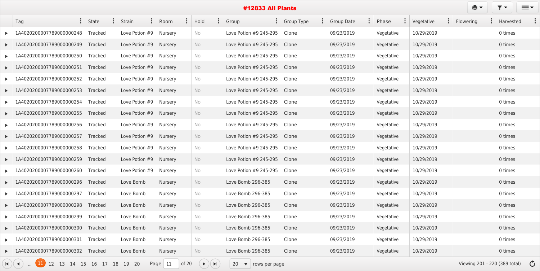|                              | Tag                                                | State          | $\ddot{\bullet}$ | <b>Strain</b>            | Room           | $\ddot{\cdot}$ | $\ddot{\cdot}$<br>Hold                      | Group<br>$\ddot{\bullet}$  | Group Type | <b>Group Date</b> | Phase<br>$\bullet$<br>$\ddot{\cdot}$ | Vegetative | Flowering<br>$\ddot{\bullet}$ | Harvested                               |
|------------------------------|----------------------------------------------------|----------------|------------------|--------------------------|----------------|----------------|---------------------------------------------|----------------------------|------------|-------------------|--------------------------------------|------------|-------------------------------|-----------------------------------------|
|                              | 1A4020200007789000000248                           | Tracked        |                  | Love Potion #9           | Nursery        |                | No                                          | Love Potion #9 245-295     | Clone      | 09/23/2019        | Vegetative                           | 10/29/2019 |                               | 0 times                                 |
| $\blacktriangleright$        | 1A4020200007789000000249                           | Tracked        |                  | Love Potion #9           | Nursery        |                | No                                          | Love Potion #9 245-295     | Clone      | 09/23/2019        | Vegetative                           | 10/29/2019 |                               | 0 times                                 |
|                              | 1A4020200007789000000250                           | Tracked        |                  | Love Potion #9           | Nursery        |                | No                                          | Love Potion #9 245-295     | Clone      | 09/23/2019        | Vegetative                           | 10/29/2019 |                               | 0 times                                 |
|                              | 1A4020200007789000000251                           | <b>Tracked</b> |                  | Love Potion $#9$ Nursery |                |                | No                                          | Love Potion #9 245-295     | Clone      | 09/23/2019        | Vegetative                           | 10/29/2019 |                               | 0 times                                 |
|                              | 1A4020200007789000000252                           | Tracked        |                  | Love Potion #9           | Nursery        |                | No                                          | Love Potion #9 245-295     | Clone      | 09/23/2019        | Vegetative                           | 10/29/2019 |                               | 0 times                                 |
|                              | 1A4020200007789000000253                           | Tracked        |                  | Love Potion #9           | Nursery        |                | No                                          | Love Potion #9 245-295     | Clone      | 09/23/2019        | Vegetative                           | 10/29/2019 |                               | 0 times                                 |
| $\blacktriangleright$        | 1A4020200007789000000254                           | Tracked        |                  | Love Potion #9           | Nursery        |                | No                                          | Love Potion #9 245-295     | Clone      | 09/23/2019        | Vegetative                           | 10/29/2019 |                               | 0 times                                 |
|                              | 1A4020200007789000000255                           | <b>Tracked</b> |                  | Love Potion #9           | Nursery        |                | No                                          | Love Potion #9 245-295     | Clone      | 09/23/2019        | Vegetative                           | 10/29/2019 |                               | 0 times                                 |
|                              | 1A4020200007789000000256                           | Tracked        |                  | Love Potion $#9$ Nursery |                |                | No                                          | Love Potion #9 245-295     | Clone      | 09/23/2019        | Vegetative                           | 10/29/2019 |                               | 0 times                                 |
| $\blacktriangleright$ .      | 1A4020200007789000000257                           | <b>Tracked</b> |                  | Love Potion #9           | Nursery        |                | No                                          | Love Potion #9 245-295     | Clone      | 09/23/2019        | Vegetative                           | 10/29/2019 |                               | 0 times                                 |
|                              | 1A4020200007789000000258                           | Tracked        |                  | Love Potion #9           | Nursery        |                | No                                          | Love Potion #9 245-295     | Clone      | 09/23/2019        | Vegetative                           | 10/29/2019 |                               | 0 times                                 |
| ▶                            | 1A4020200007789000000259                           | Tracked        |                  | Love Potion #9           | Nursery        |                | No                                          | Love Potion #9 245-295     | Clone      | 09/23/2019        | Vegetative                           | 10/29/2019 |                               | 0 times                                 |
|                              | 1A4020200007789000000260                           | Tracked        |                  | Love Potion #9           | Nursery        |                | No                                          | Love Potion #9 245-295     | Clone      | 09/23/2019        | Vegetative                           | 10/29/2019 |                               | 0 times                                 |
|                              | 1A4020200007789000000296                           | <b>Tracked</b> |                  | Love Bomb                | Nursery        |                | No                                          | Love Bomb 296-385          | Clone      | 09/23/2019        | Vegetative                           | 10/29/2019 |                               | 0 times                                 |
|                              | $\blacktriangleright$ 1A4020200007789000000297     | Tracked        |                  | Love Bomb                | <b>Nursery</b> |                | No.                                         | Love Bomb 296-385          | Clone      | 09/23/2019        | Vegetative                           | 10/29/2019 |                               | 0 times                                 |
|                              | LA4020200007789000000298                           | Tracked        |                  | Love Bomb                | Nursery        |                | <b>No</b>                                   | Love Bomb 296-385          | Clone      | 09/23/2019        | Vegetative                           | 10/29/2019 |                               | 0 times                                 |
| $\blacktriangleright$        | 1A4020200007789000000299                           | Tracked        |                  | Love Bomb                | Nursery        |                | No                                          | Love Bomb 296-385          | Clone      | 09/23/2019        | Vegetative                           | 10/29/2019 |                               | 0 times                                 |
|                              | $\blacktriangleright$ 1A4020200007789000000300     | Tracked        |                  | Love Bomb                | Nursery        |                | <b>No</b>                                   | Love Bomb 296-385          | Clone      | 09/23/2019        | Vegetative                           | 10/29/2019 |                               | 0 times                                 |
|                              | 1A4020200007789000000301                           | Tracked        |                  | Love Bomb                | Nursery        |                | No                                          | Love Bomb 296-385          | Clone      | 09/23/2019        | Vegetative                           | 10/29/2019 |                               | 0 times                                 |
|                              | ▶ 1A4020200007789000000302   Tracked               |                |                  | Love Bomb                | Nursery        |                | No                                          | Love Bomb 296-385          | Clone      | 09/23/2019        | Vegetative                           | 10/29/2019 |                               | 0 times                                 |
| $H$ $($ $\blacktriangleleft$ | 12    13    14    15    16    17    18    19    20 |                |                  |                          | Page $11$      | of 20          | $\blacktriangleright)(\blacktriangleright)$ | $20 \bullet$ rows per page |            |                   |                                      |            |                               | Viewing 201 - 220 (389 total) $\bullet$ |

| $\ddot{\bullet}$ | Phase      | ÷ | $\ddot{\cdot}$<br>Vegetative | Flowering<br>$\ddot{\bullet}$ | Harvested |  |
|------------------|------------|---|------------------------------|-------------------------------|-----------|--|
|                  | Vegetative |   | 10/29/2019                   |                               | 0 times   |  |
|                  | Vegetative |   | 10/29/2019                   |                               | 0 times   |  |
|                  | Vegetative |   | 10/29/2019                   |                               | 0 times   |  |
|                  | Vegetative |   | 10/29/2019                   |                               | 0 times   |  |
|                  | Vegetative |   | 10/29/2019                   |                               | 0 times   |  |
|                  | Vegetative |   | 10/29/2019                   |                               | 0 times   |  |
|                  | Vegetative |   | 10/29/2019                   |                               | 0 times   |  |
|                  | Vegetative |   | 10/29/2019                   |                               | 0 times   |  |
|                  | Vegetative |   | 10/29/2019                   |                               | 0 times   |  |
|                  | Vegetative |   | 10/29/2019                   |                               | 0 times   |  |
|                  | Vegetative |   | 10/29/2019                   |                               | 0 times   |  |
|                  | Vegetative |   | 10/29/2019                   |                               | 0 times   |  |
|                  | Vegetative |   | 10/29/2019                   |                               | 0 times   |  |
|                  | Vegetative |   | 10/29/2019                   |                               | 0 times   |  |
|                  | Vegetative |   | 10/29/2019                   |                               | 0 times   |  |
|                  | Vegetative |   | 10/29/2019                   |                               | 0 times   |  |
|                  | Vegetative |   | 10/29/2019                   |                               | 0 times   |  |
|                  | Vegetative |   | 10/29/2019                   |                               | 0 times   |  |
|                  | Vegetative |   | 10/29/2019                   |                               | 0 times   |  |
|                  | Vegetative |   | 10/29/2019                   |                               | 0 times   |  |

 $e<sub>1</sub>$ 

 $\overline{\mathbf{y}}$ 

 $\equiv$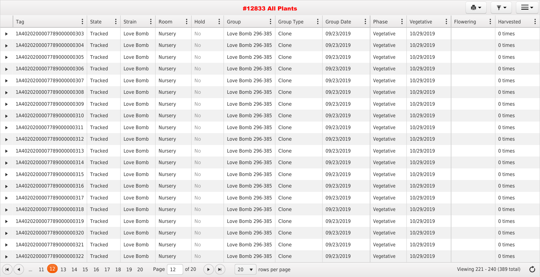|                       | Tag<br>$\ddot{\bullet}$               | <b>State</b>   | Strain    | Room           |         | Hold              | Group<br>$\ddot{\bullet}$                | <b>Group Type</b> | Group Date | Phase      | Vegetative<br>$\ddot{\bullet}$ | Flowering<br>$\bullet$ | Harvested                               |  |
|-----------------------|---------------------------------------|----------------|-----------|----------------|---------|-------------------|------------------------------------------|-------------------|------------|------------|--------------------------------|------------------------|-----------------------------------------|--|
|                       | 1A4020200007789000000303              | Tracked        | Love Bomb | Nursery        |         | No                | Love Bomb 296-385                        | Clone             | 09/23/2019 | Vegetative | 10/29/2019                     |                        | 0 times                                 |  |
|                       | 1A4020200007789000000304              | <b>Tracked</b> | Love Bomb | <b>Nursery</b> |         | <b>No</b>         | Love Bomb 296-385                        | Clone             | 09/23/2019 | Vegetative | 10/29/2019                     |                        | 0 times                                 |  |
|                       | 1A4020200007789000000305              | Tracked        | Love Bomb | Nursery        |         | No                | Love Bomb 296-385                        | Clone             | 09/23/2019 | Vegetative | 10/29/2019                     |                        | 0 times                                 |  |
|                       | 1A4020200007789000000306              | Tracked        | Love Bomb | <b>Nursery</b> |         | <b>No</b>         | Love Bomb 296-385                        | Clone             | 09/23/2019 | Vegetative | 10/29/2019                     |                        | 0 times                                 |  |
|                       | 1A4020200007789000000307              | Tracked        | Love Bomb | Nursery        |         | No                | Love Bomb 296-385                        | Clone             | 09/23/2019 | Vegetative | 10/29/2019                     |                        | 0 times                                 |  |
|                       | 1A4020200007789000000308              | Tracked        | Love Bomb | <b>Nursery</b> |         | <b>No</b>         | Love Bomb 296-385                        | Clone             | 09/23/2019 | Vegetative | 10/29/2019                     |                        | 0 times                                 |  |
|                       | 1A4020200007789000000309              | <b>Tracked</b> | Love Bomb | Nursery        |         | No                | Love Bomb 296-385                        | Clone             | 09/23/2019 | Vegetative | 10/29/2019                     |                        | 0 times                                 |  |
|                       | 1A4020200007789000000310              | <b>Tracked</b> | Love Bomb | <b>Nursery</b> |         | No                | Love Bomb 296-385                        | Clone             | 09/23/2019 | Vegetative | 10/29/2019                     |                        | 0 times                                 |  |
|                       | 1A4020200007789000000311              | Tracked        | Love Bomb | Nursery        |         | No                | Love Bomb 296-385                        | Clone             | 09/23/2019 | Vegetative | 10/29/2019                     |                        | 0 times                                 |  |
|                       | 1A4020200007789000000312              | <b>Tracked</b> | Love Bomb | <b>Nursery</b> |         | <b>No</b>         | Love Bomb 296-385                        | Clone             | 09/23/2019 | Vegetative | 10/29/2019                     |                        | 0 times                                 |  |
|                       | 1A4020200007789000000313              | Tracked        | Love Bomb | Nursery        |         | No                | Love Bomb 296-385                        | Clone             | 09/23/2019 | Vegetative | 10/29/2019                     |                        | 0 times                                 |  |
|                       | 1A4020200007789000000314              | <b>Tracked</b> | Love Bomb | <b>Nursery</b> |         | <b>No</b>         | Love Bomb 296-385                        | Clone             | 09/23/2019 | Vegetative | 10/29/2019                     |                        | 0 times                                 |  |
|                       | 1A4020200007789000000315              | Tracked        | Love Bomb | Nursery        |         | No                | Love Bomb 296-385                        | Clone             | 09/23/2019 | Vegetative | 10/29/2019                     |                        | 0 times                                 |  |
|                       | 1A4020200007789000000316              | Tracked        | Love Bomb | Nursery        |         | No                | Love Bomb 296-385                        | Clone             | 09/23/2019 | Vegetative | 10/29/2019                     |                        | 0 times                                 |  |
| $\blacktriangleright$ | 1A4020200007789000000317              | Tracked        | Love Bomb | Nursery        |         | No.               | Love Bomb 296-385                        | Clone             | 09/23/2019 | Vegetative | 10/29/2019                     |                        | 0 times                                 |  |
|                       | 1A4020200007789000000318              | Tracked        | Love Bomb | Nursery        |         | No                | Love Bomb 296-385                        | Clone             | 09/23/2019 | Vegetative | 10/29/2019                     |                        | 0 times                                 |  |
|                       | 1A4020200007789000000319              | Tracked        | Love Bomb | Nursery        |         | No                | Love Bomb 296-385                        | Clone             | 09/23/2019 | Vegetative | 10/29/2019                     |                        | 0 times                                 |  |
|                       | 1A4020200007789000000320              | Tracked        | Love Bomb | Nursery        |         | No                | Love Bomb 296-385                        | Clone             | 09/23/2019 | Vegetative | 10/29/2019                     |                        | 0 times                                 |  |
|                       | 1A4020200007789000000321              | Tracked        | Love Bomb | Nursery        |         | No                | Love Bomb 296-385                        | Clone             | 09/23/2019 | Vegetative | 10/29/2019                     |                        | 0 times                                 |  |
|                       | 1A4020200007789000000322              | Tracked        | Love Bomb | Nursery        |         | No                | Love Bomb 296-385                        | Clone             | 09/23/2019 | Vegetative | 10/29/2019                     |                        | 0 times                                 |  |
|                       | 11 12 13 14 15 16 17 18 19 20<br>H)(4 |                |           | Page $12$      | of $20$ | $( )$ $( )$ $( )$ | 20<br>$\blacktriangledown$ rows per page |                   |            |            |                                |                        | Viewing 221 - 240 (389 total) $\bullet$ |  |

|--|

 $\overline{Y}$   $\overline{Y}$ 

 $\equiv$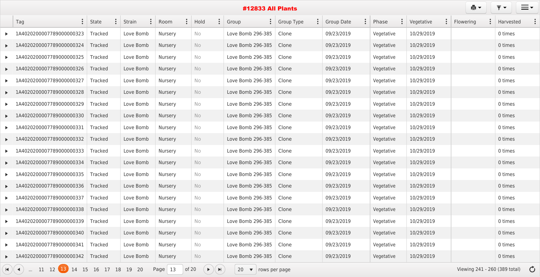|                       | Tag                                  | <b>State</b>   | Strain    | Room           | Hold                                  | Group<br>$\bullet$                       | <b>Group Type</b> | <b>Group Date</b> | Phase      | Vegetative | Flowering                     | Harvested     |
|-----------------------|--------------------------------------|----------------|-----------|----------------|---------------------------------------|------------------------------------------|-------------------|-------------------|------------|------------|-------------------------------|---------------|
|                       | 1A4020200007789000000323             | Tracked        | Love Bomb | Nursery        | No                                    | Love Bomb 296-385                        | Clone             | 09/23/2019        | Vegetative | 10/29/2019 |                               | 0 times       |
|                       | 1A4020200007789000000324             | <b>Tracked</b> | Love Bomb | <b>Nursery</b> | No                                    | Love Bomb 296-385                        | Clone             | 09/23/2019        | Vegetative | 10/29/2019 |                               | 0 times       |
|                       | 1A4020200007789000000325             | <b>Tracked</b> | Love Bomb | Nursery        | No                                    | Love Bomb 296-385                        | Clone             | 09/23/2019        | Vegetative | 10/29/2019 |                               | 0 times       |
|                       | 1A4020200007789000000326             | Tracked        | Love Bomb | <b>Nursery</b> | <b>No</b>                             | Love Bomb 296-385                        | Clone             | 09/23/2019        | Vegetative | 10/29/2019 |                               | 0 times       |
|                       | 1A4020200007789000000327             | <b>Tracked</b> | Love Bomb | Nursery        | No                                    | Love Bomb 296-385                        | Clone             | 09/23/2019        | Vegetative | 10/29/2019 |                               | 0 times       |
|                       | 1A4020200007789000000328             | <b>Tracked</b> | Love Bomb | <b>Nursery</b> | <b>No</b>                             | Love Bomb 296-385                        | Clone             | 09/23/2019        | Vegetative | 10/29/2019 |                               | 0 times       |
|                       | 1A4020200007789000000329             | Tracked        | Love Bomb | Nursery        | No                                    | Love Bomb 296-385                        | Clone             | 09/23/2019        | Vegetative | 10/29/2019 |                               | 0 times       |
|                       | 1A4020200007789000000330             | <b>Tracked</b> | Love Bomb | Nursery        | <b>No</b>                             | Love Bomb 296-385                        | Clone             | 09/23/2019        | Vegetative | 10/29/2019 |                               | 0 times       |
|                       | 1A4020200007789000000331             | <b>Tracked</b> | Love Bomb | Nursery        | No                                    | Love Bomb 296-385                        | Clone             | 09/23/2019        | Vegetative | 10/29/2019 |                               | 0 times       |
|                       | 1A4020200007789000000332             | <b>Tracked</b> | Love Bomb | <b>Nursery</b> | <b>No</b>                             | Love Bomb 296-385                        | Clone             | 09/23/2019        | Vegetative | 10/29/2019 |                               | 0 times       |
|                       | 1A4020200007789000000333             | Tracked        | Love Bomb | Nursery        | No                                    | Love Bomb 296-385                        | Clone             | 09/23/2019        | Vegetative | 10/29/2019 |                               | 0 times       |
|                       | 1A4020200007789000000334             | Tracked        | Love Bomb | <b>Nursery</b> | <b>No</b>                             | Love Bomb 296-385                        | Clone             | 09/23/2019        | Vegetative | 10/29/2019 |                               | 0 times       |
|                       | 1A4020200007789000000335             | <b>Tracked</b> | Love Bomb | Nursery        | No                                    | Love Bomb 296-385                        | Clone             | 09/23/2019        | Vegetative | 10/29/2019 |                               | 0 times       |
| $\blacktriangleright$ | 1A4020200007789000000336             | Tracked        | Love Bomb | Nursery        | <b>No</b>                             | Love Bomb 296-385                        | Clone             | 09/23/2019        | Vegetative | 10/29/2019 |                               | 0 times       |
|                       | 1A4020200007789000000337             | Tracked        | Love Bomb | <b>Nursery</b> | No.                                   | Love Bomb 296-385                        | Clone             | 09/23/2019        | Vegetative | 10/29/2019 |                               | 0 times       |
|                       | 1A4020200007789000000338             | Tracked        | Love Bomb | Nursery        | No                                    | Love Bomb 296-385                        | Clone             | 09/23/2019        | Vegetative | 10/29/2019 |                               | 0 times       |
|                       | 1A4020200007789000000339             | Tracked        | Love Bomb | Nursery        | No                                    | Love Bomb 296-385                        | Clone             | 09/23/2019        | Vegetative | 10/29/2019 |                               | 0 times       |
|                       | 1A4020200007789000000340             | Tracked        | Love Bomb | Nursery        | No                                    | Love Bomb 296-385                        | Clone             | 09/23/2019        | Vegetative | 10/29/2019 |                               | 0 times       |
|                       | 1A4020200007789000000341             | Tracked        | Love Bomb | Nursery        | No                                    | Love Bomb 296-385                        | Clone             | 09/23/2019        | Vegetative | 10/29/2019 |                               | 0 times       |
|                       | 1A4020200007789000000342             | Tracked        | Love Bomb | Nursery        | No                                    | Love Bomb 296-385                        | Clone             | 09/23/2019        | Vegetative | 10/29/2019 |                               | 0 times       |
|                       | 11 12 13 14 15 16 17 18 19 20<br>(A) |                |           | Page $13$      | of 20<br>$(\rightarrow)(\rightarrow)$ | 20<br>$\blacktriangledown$ rows per page |                   |                   |            |            | Viewing 241 - 260 (389 total) | $\mathcal{C}$ |

|--|

 $\overline{Y}$   $\overline{Y}$ 

 $\equiv$ 

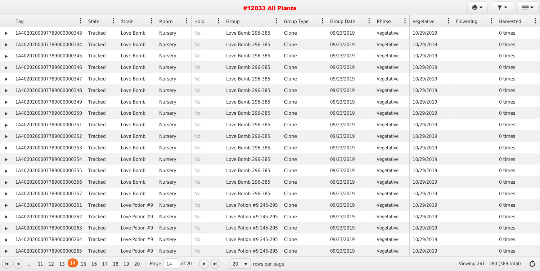|                         | Tag                                          | State          | $\ddot{\bullet}$ | Strain                   | Room           | $\ddot{\cdot}$ | $\ddot{\cdot}$<br>Hold | Group<br>$\ddot{\bullet}$                  | Group Type | <b>Group Date</b> | Phase<br>$\ddot{\cdot}$ | Vegetative<br>$\ddot{\cdot}$ | Flowering | Harvested                               |
|-------------------------|----------------------------------------------|----------------|------------------|--------------------------|----------------|----------------|------------------------|--------------------------------------------|------------|-------------------|-------------------------|------------------------------|-----------|-----------------------------------------|
|                         | 1A4020200007789000000343                     | Tracked        |                  | Love Bomb                | Nursery        |                | No                     | Love Bomb 296-385                          | Clone      | 09/23/2019        | Vegetative              | 10/29/2019                   |           | 0 times                                 |
| $\blacktriangleright$   | 1A4020200007789000000344                     | Tracked        |                  | Love Bomb                | <b>Nursery</b> |                | No                     | Love Bomb 296-385                          | Clone      | 09/23/2019        | Vegetative              | 10/29/2019                   |           | 0 times                                 |
|                         | 1A4020200007789000000345                     | <b>Tracked</b> |                  | Love Bomb                | Nursery        |                | No                     | Love Bomb 296-385                          | Clone      | 09/23/2019        | Vegetative              | 10/29/2019                   |           | 0 times                                 |
|                         | 1A4020200007789000000346                     | Tracked        |                  | Love Bomb                | Nursery        |                | No                     | Love Bomb 296-385                          | Clone      | 09/23/2019        | Vegetative              | 10/29/2019                   |           | 0 times                                 |
|                         | 1A4020200007789000000347                     | <b>Tracked</b> |                  | Love Bomb                | Nursery        |                | No                     | Love Bomb 296-385                          | Clone      | 09/23/2019        | Vegetative              | 10/29/2019                   |           | 0 times                                 |
|                         | 1A4020200007789000000348                     | <b>Tracked</b> |                  | Love Bomb                | Nursery        |                | No                     | Love Bomb 296-385                          | Clone      | 09/23/2019        | Vegetative              | 10/29/2019                   |           | 0 times                                 |
|                         | 1A4020200007789000000349                     | <b>Tracked</b> |                  | Love Bomb                | Nursery        |                | No                     | Love Bomb 296-385                          | Clone      | 09/23/2019        | Vegetative              | 10/29/2019                   |           | 0 times                                 |
| $\blacktriangleright$   | 1A4020200007789000000350                     | Tracked        |                  | Love Bomb                | Nursery        |                | No                     | Love Bomb 296-385                          | Clone      | 09/23/2019        | Vegetative              | 10/29/2019                   |           | 0 times                                 |
|                         | 1A4020200007789000000351                     | <b>Tracked</b> |                  | Love Bomb                | Nursery        |                | No                     | Love Bomb 296-385                          | Clone      | 09/23/2019        | Vegetative              | 10/29/2019                   |           | 0 times                                 |
|                         | 1A4020200007789000000352                     | Tracked        |                  | Love Bomb                | <b>Nursery</b> |                | No                     | Love Bomb 296-385                          | Clone      | 09/23/2019        | Vegetative              | 10/29/2019                   |           | 0 times                                 |
|                         | 1A4020200007789000000353                     | Tracked        |                  | Love Bomb                | Nursery        |                | No                     | Love Bomb 296-385                          | Clone      | 09/23/2019        | Vegetative              | 10/29/2019                   |           | 0 times                                 |
|                         | 1A4020200007789000000354                     | <b>Tracked</b> |                  | Love Bomb                | Nursery        |                | No                     | Love Bomb 296-385                          | Clone      | 09/23/2019        | Vegetative              | 10/29/2019                   |           | 0 times                                 |
|                         | 1A4020200007789000000355                     | Tracked        |                  | Love Bomb                | Nursery        |                | No                     | Love Bomb 296-385                          | Clone      | 09/23/2019        | Vegetative              | 10/29/2019                   |           | 0 times                                 |
|                         | 1A4020200007789000000356                     | <b>Tracked</b> |                  | Love Bomb                | <b>Nursery</b> |                | <b>No</b>              | Love Bomb 296-385                          | Clone      | 09/23/2019        | Vegetative              | 10/29/2019                   |           | 0 times                                 |
|                         | $\triangleright$ 1A4020200007789000000357    | Tracked        |                  | Love Bomb                | <b>Nursery</b> |                | No                     | Love Bomb 296-385                          | Clone      | 09/23/2019        | Vegetative              | 10/29/2019                   |           | 0 times                                 |
| $\blacktriangleright$ . | 1A4020200007789000000261                     | Tracked        |                  | Love Potion $#9$ Nursery |                |                | <b>No</b>              | Love Potion #9 245-295                     | Clone      | 09/23/2019        | Vegetative              | 10/29/2019                   |           | 0 times                                 |
|                         | 1A4020200007789000000262                     | Tracked        |                  | Love Potion $#9$ Nursery |                |                | No                     | Love Potion #9 245-295                     | Clone      | 09/23/2019        | Vegetative              | 10/29/2019                   |           | 0 times                                 |
| $\blacktriangleright$   | 1A4020200007789000000263                     | Tracked        |                  | Love Potion $#9$ Nursery |                |                | <b>No</b>              | Love Potion #9 245-295                     | Clone      | 09/23/2019        | Vegetative              | 10/29/2019                   |           | 0 times                                 |
|                         | 1A4020200007789000000264                     | Tracked        |                  | Love Potion $#9$ Nursery |                |                | No                     | Love Potion #9 245-295                     | Clone      | 09/23/2019        | Vegetative              | 10/29/2019                   |           | 0 times                                 |
|                         | 1A4020200007789000000265                     | Tracked        |                  | Love Potion $#9$ Nursery |                |                | <b>No</b>              | Love Potion #9 245-295   Clone             |            | 09/23/2019        | Vegetative              | 10/29/2019                   |           | 0 times                                 |
|                         | $(A)$ (4)  11 12 13 $(14)$ 15 16 17 18 19 20 |                |                  |                          | Page $14$      | of $20$        | $(+)$ $($ $)$          | 20<br>$\blacktriangledown$   rows per page |            |                   |                         |                              |           | Viewing 261 - 280 (389 total) $\bullet$ |

| $\ddot{\bullet}$ | Phase      | ÷ | $\ddot{\cdot}$<br>Vegetative | Flowering<br>$\ddot{\bullet}$ | Harvested |  |
|------------------|------------|---|------------------------------|-------------------------------|-----------|--|
|                  | Vegetative |   | 10/29/2019                   |                               | 0 times   |  |
|                  | Vegetative |   | 10/29/2019                   |                               | 0 times   |  |
|                  | Vegetative |   | 10/29/2019                   |                               | 0 times   |  |
|                  | Vegetative |   | 10/29/2019                   |                               | 0 times   |  |
|                  | Vegetative |   | 10/29/2019                   |                               | 0 times   |  |
|                  | Vegetative |   | 10/29/2019                   |                               | 0 times   |  |
|                  | Vegetative |   | 10/29/2019                   |                               | 0 times   |  |
|                  | Vegetative |   | 10/29/2019                   |                               | 0 times   |  |
|                  | Vegetative |   | 10/29/2019                   |                               | 0 times   |  |
|                  | Vegetative |   | 10/29/2019                   |                               | 0 times   |  |
|                  | Vegetative |   | 10/29/2019                   |                               | 0 times   |  |
|                  | Vegetative |   | 10/29/2019                   |                               | 0 times   |  |
|                  | Vegetative |   | 10/29/2019                   |                               | 0 times   |  |
|                  | Vegetative |   | 10/29/2019                   |                               | 0 times   |  |
|                  | Vegetative |   | 10/29/2019                   |                               | 0 times   |  |
|                  | Vegetative |   | 10/29/2019                   |                               | 0 times   |  |
|                  | Vegetative |   | 10/29/2019                   |                               | 0 times   |  |
|                  | Vegetative |   | 10/29/2019                   |                               | 0 times   |  |
|                  | Vegetative |   | 10/29/2019                   |                               | 0 times   |  |
|                  | Vegetative |   | 10/29/2019                   |                               | 0 times   |  |

 $er$ 

 $\overline{\mathbf{y}}$ 

 $\equiv$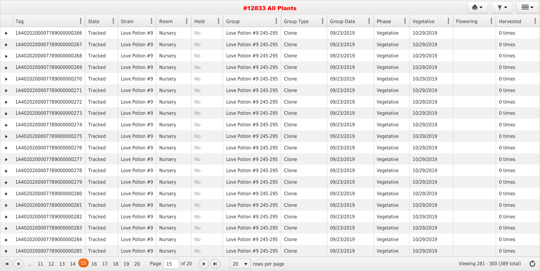| Tag                                            | State   | $\bullet$ | <b>Strain</b><br>$\ddot{\bullet}$ | Room    | $\ddot{\cdot}$ | $\ddot{\cdot}$<br>Hold | Group<br>$\frac{1}{2}$               | <b>Group Type</b> | <b>Group Date</b> | $\ddot{\bullet}$ | Phase      | $\ddot{\cdot}$ | Vegetative | $\bullet$ | Flowering | $\bullet$ | Harvested |  |
|------------------------------------------------|---------|-----------|-----------------------------------|---------|----------------|------------------------|--------------------------------------|-------------------|-------------------|------------------|------------|----------------|------------|-----------|-----------|-----------|-----------|--|
| 1A4020200007789000000266                       | Tracked |           | Love Potion #9                    | Nursery |                | No                     | Love Potion #9 245-295               | Clone             | 09/23/2019        |                  | Vegetative |                | 10/29/2019 |           |           |           | 0 times   |  |
| LA4020200007789000000267                       | Tracked |           | Love Potion #9                    | Nursery |                | No                     | Love Potion #9 245-295               | Clone             | 09/23/2019        |                  | Vegetative |                | 10/29/2019 |           |           |           | 0 times   |  |
| 1A4020200007789000000268                       | Tracked |           | Love Potion #9                    | Nursery |                | No                     | Love Potion #9 245-295               | Clone             | 09/23/2019        |                  | Vegetative |                | 10/29/2019 |           |           |           | 0 times   |  |
| 1A4020200007789000000269                       | Tracked |           | Love Potion $#9$                  | Nursery |                | No                     | Love Potion #9 245-295               | Clone             | 09/23/2019        |                  | Vegetative |                | 10/29/2019 |           |           |           | 0 times   |  |
| 1A4020200007789000000270                       | Tracked |           | Love Potion #9                    | Nursery |                | No                     | Love Potion #9 245-295               | Clone             | 09/23/2019        |                  | Vegetative |                | 10/29/2019 |           |           |           | 0 times   |  |
| 1A4020200007789000000271                       | Tracked |           | Love Potion #9                    | Nursery |                | No                     | Love Potion #9 245-295               | Clone             | 09/23/2019        |                  | Vegetative |                | 10/29/2019 |           |           |           | 0 times   |  |
| 1A4020200007789000000272                       | Tracked |           | Love Potion #9 $ $                | Nursery |                | No                     | Love Potion #9 245-295               | Clone             | 09/23/2019        |                  | Vegetative |                | 10/29/2019 |           |           |           | 0 times   |  |
| 1A4020200007789000000273                       | Tracked |           | Love Potion #9                    | Nursery |                | No                     | Love Potion #9 245-295               | Clone             | 09/23/2019        |                  | Vegetative |                | 10/29/2019 |           |           |           | 0 times   |  |
| 1A4020200007789000000274                       | Tracked |           | Love Potion $#9$                  | Nursery |                | No                     | Love Potion #9 245-295               | Clone             | 09/23/2019        |                  | Vegetative |                | 10/29/2019 |           |           |           | 0 times   |  |
| 1A4020200007789000000275                       | Tracked |           | Love Potion #9                    | Nursery |                | No                     | Love Potion #9 245-295               | Clone             | 09/23/2019        |                  | Vegetative |                | 10/29/2019 |           |           |           | 0 times   |  |
| 1A4020200007789000000276                       | Tracked |           | Love Potion #9                    | Nursery |                | No                     | Love Potion #9 245-295               | Clone             | 09/23/2019        |                  | Vegetative |                | 10/29/2019 |           |           |           | 0 times   |  |
| 1A4020200007789000000277                       | Tracked |           | Love Potion #9                    | Nursery |                | No                     | Love Potion #9 245-295               | Clone             | 09/23/2019        |                  | Vegetative |                | 10/29/2019 |           |           |           | 0 times   |  |
| 1A4020200007789000000278                       | Tracked |           | Love Potion #9                    | Nursery |                | No                     | Love Potion #9 245-295               | Clone             | 09/23/2019        |                  | Vegetative |                | 10/29/2019 |           |           |           | 0 times   |  |
| 1A4020200007789000000279                       | Tracked |           | Love Potion #9                    | Nursery |                | No                     | Love Potion #9 245-295               | Clone             | 09/23/2019        |                  | Vegetative |                | 10/29/2019 |           |           |           | 0 times   |  |
| $\blacktriangleright$ 1A4020200007789000000280 | Tracked |           | Love Potion $#9$   Nursery        |         |                | No.                    | Love Potion #9 245-295 $\vert$ Clone |                   | 09/23/2019        |                  | Vegetative |                | 10/29/2019 |           |           |           | 0 times   |  |
| LA4020200007789000000281                       | Tracked |           | Love Potion $#9$ Nursery          |         |                | No                     | Love Potion #9 245-295               | Clone             | 09/23/2019        |                  | Vegetative |                | 10/29/2019 |           |           |           | 0 times   |  |
| 1A4020200007789000000282                       | Tracked |           | Love Potion $#9$ Nursery          |         |                | No                     | Love Potion #9 245-295               | Clone             | 09/23/2019        |                  | Vegetative |                | 10/29/2019 |           |           |           | 0 times   |  |
| $\blacktriangleright$ 1A4020200007789000000283 | Tracked |           | Love Potion $#9$ Nursery          |         |                | No                     | Love Potion #9 245-295               | Clone             | 09/23/2019        |                  | Vegetative |                | 10/29/2019 |           |           |           | 0 times   |  |
| 1A4020200007789000000284                       | Tracked |           | Love Potion $#9$ Nursery          |         |                | No                     | Love Potion #9 245-295               | Clone             | 09/23/2019        |                  | Vegetative |                | 10/29/2019 |           |           |           | 0 times   |  |
| $\blacktriangleright$ 1A4020200007789000000285 | Tracked |           | Love Potion $#9$ Nursery          |         |                | <b>No</b>              | Love Potion #9 245-295 $\mid$ Clone  |                   | 09/23/2019        |                  | Vegetative |                | 10/29/2019 |           |           |           | 0 times   |  |

... <sup>11</sup> <sup>12</sup> <sup>13</sup> <sup>14</sup> <sup>15</sup> <sup>16</sup> <sup>17</sup> <sup>18</sup> <sup>19</sup> <sup>20</sup> Page <sup>15</sup> of 20 <sup>20</sup> rows per page Viewing 281 - 300 (389 total)

| $\ddot{\bullet}$ | Phase      | ÷ | Vegetative | $\ddot{\cdot}$ | Flowering<br>$\ddot{\bullet}$ | Harvested |  |
|------------------|------------|---|------------|----------------|-------------------------------|-----------|--|
|                  | Vegetative |   | 10/29/2019 |                |                               | 0 times   |  |
|                  | Vegetative |   | 10/29/2019 |                |                               | 0 times   |  |
|                  | Vegetative |   | 10/29/2019 |                |                               | 0 times   |  |
|                  | Vegetative |   | 10/29/2019 |                |                               | 0 times   |  |
|                  | Vegetative |   | 10/29/2019 |                |                               | 0 times   |  |
|                  | Vegetative |   | 10/29/2019 |                |                               | 0 times   |  |
|                  | Vegetative |   | 10/29/2019 |                |                               | 0 times   |  |
|                  | Vegetative |   | 10/29/2019 |                |                               | 0 times   |  |
|                  | Vegetative |   | 10/29/2019 |                |                               | 0 times   |  |
|                  | Vegetative |   | 10/29/2019 |                |                               | 0 times   |  |
|                  | Vegetative |   | 10/29/2019 |                |                               | 0 times   |  |
|                  | Vegetative |   | 10/29/2019 |                |                               | 0 times   |  |
|                  | Vegetative |   | 10/29/2019 |                |                               | 0 times   |  |
|                  | Vegetative |   | 10/29/2019 |                |                               | 0 times   |  |
|                  | Vegetative |   | 10/29/2019 |                |                               | 0 times   |  |
|                  | Vegetative |   | 10/29/2019 |                |                               | 0 times   |  |
|                  | Vegetative |   | 10/29/2019 |                |                               | 0 times   |  |
|                  | Vegetative |   | 10/29/2019 |                |                               | 0 times   |  |
|                  | Vegetative |   | 10/29/2019 |                |                               | 0 times   |  |
|                  | Vegetative |   | 10/29/2019 |                |                               | 0 times   |  |

 $e<sub>1</sub>$ 

 $\overline{\mathbf{y}}$ 

 $\equiv$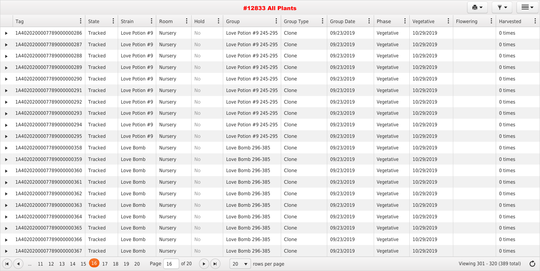| Tag                                                        | State          |    | <b>Strain</b>    | Room           | $\ddot{\cdot}$ | Hold          | Group<br>$\ddot{\bullet}$                | <b>Group Type</b> | <b>Group Date</b> | Phase<br>$\ddot{\bullet}$ | Vegetative | $\bullet$ | Flowering                               | Harvested |  |
|------------------------------------------------------------|----------------|----|------------------|----------------|----------------|---------------|------------------------------------------|-------------------|-------------------|---------------------------|------------|-----------|-----------------------------------------|-----------|--|
| 1A4020200007789000000286                                   | <b>Tracked</b> |    | Love Potion #9   | Nursery        |                | No            | Love Potion #9 245-295                   | Clone             | 09/23/2019        | Vegetative                | 10/29/2019 |           |                                         | 0 times   |  |
| 1A4020200007789000000287                                   | Tracked        |    | Love Potion #9   | Nursery        |                | No            | Love Potion #9 245-295                   | Clone             | 09/23/2019        | Vegetative                | 10/29/2019 |           |                                         | 0 times   |  |
| 1A4020200007789000000288                                   | <b>Tracked</b> |    | Love Potion #9   | Nursery        |                | No            | Love Potion #9 245-295                   | Clone             | 09/23/2019        | Vegetative                | 10/29/2019 |           |                                         | 0 times   |  |
| 1A4020200007789000000289                                   | Tracked        |    | Love Potion $#9$ | Nursery        |                | No            | Love Potion #9 245-295                   | Clone             | 09/23/2019        | Vegetative                | 10/29/2019 |           |                                         | 0 times   |  |
| 1A4020200007789000000290                                   | Tracked        |    | Love Potion $#9$ | Nursery        |                | No            | Love Potion #9 245-295                   | Clone             | 09/23/2019        | Vegetative                | 10/29/2019 |           |                                         | 0 times   |  |
| 1A4020200007789000000291                                   | Tracked        |    | Love Potion #9   | Nursery        |                | No            | Love Potion #9 245-295                   | Clone             | 09/23/2019        | Vegetative                | 10/29/2019 |           |                                         | 0 times   |  |
| 1A4020200007789000000292                                   | <b>Tracked</b> |    | Love Potion #9   | Nursery        |                | No            | Love Potion #9 245-295                   | Clone             | 09/23/2019        | Vegetative                | 10/29/2019 |           |                                         | 0 times   |  |
| 1A4020200007789000000293                                   | Tracked        |    | Love Potion #9   | Nursery        |                | No            | Love Potion #9 245-295                   | Clone             | 09/23/2019        | Vegetative                | 10/29/2019 |           |                                         | 0 times   |  |
| 1A4020200007789000000294                                   | Tracked        |    | Love Potion #9   | Nursery        |                | No            | Love Potion #9 245-295                   | Clone             | 09/23/2019        | Vegetative                | 10/29/2019 |           |                                         | 0 times   |  |
| 1A4020200007789000000295                                   | Tracked        |    | Love Potion #9   | Nursery        |                | No            | Love Potion #9 245-295                   | Clone             | 09/23/2019        | Vegetative                | 10/29/2019 |           |                                         | 0 times   |  |
| 1A4020200007789000000358                                   | Tracked        |    | Love Bomb        | Nursery        |                | No            | Love Bomb 296-385                        | Clone             | 09/23/2019        | Vegetative                | 10/29/2019 |           |                                         | 0 times   |  |
| 1A4020200007789000000359                                   | Tracked        |    | Love Bomb        | <b>Nursery</b> |                | No            | Love Bomb 296-385                        | Clone             | 09/23/2019        | Vegetative                | 10/29/2019 |           |                                         | 0 times   |  |
| 1A4020200007789000000360                                   | <b>Tracked</b> |    | Love Bomb        | Nursery        |                | No            | Love Bomb 296-385                        | Clone             | 09/23/2019        | Vegetative                | 10/29/2019 |           |                                         | 0 times   |  |
| 1A4020200007789000000361                                   | Tracked        |    | Love Bomb        | Nursery        |                | No            | Love Bomb 296-385                        | Clone             | 09/23/2019        | Vegetative                | 10/29/2019 |           |                                         | 0 times   |  |
| $\blacktriangleright$ 1A4020200007789000000362             | Tracked        |    | Love Bomb        | <b>Nursery</b> |                | No            | Love Bomb 296-385                        | Clone             | 09/23/2019        | Vegetative                | 10/29/2019 |           |                                         | 0 times   |  |
| $\blacktriangleright$ 1A4020200007789000000363             | Tracked        |    | Love Bomb        | Nursery        |                | No            | Love Bomb 296-385                        | Clone             | 09/23/2019        | Vegetative                | 10/29/2019 |           |                                         | 0 times   |  |
| 1A4020200007789000000364                                   | Tracked        |    | Love Bomb        | Nursery        |                | No            | Love Bomb 296-385                        | Clone             | 09/23/2019        | Vegetative                | 10/29/2019 |           |                                         | 0 times   |  |
| LA4020200007789000000365                                   | Tracked        |    | Love Bomb        | Nursery        |                | No            | Love Bomb 296-385                        | Clone             | 09/23/2019        | Vegetative                | 10/29/2019 |           |                                         | 0 times   |  |
| 1A4020200007789000000366                                   | Tracked        |    | Love Bomb        | Nursery        |                | No            | Love Bomb 296-385                        | Clone             | 09/23/2019        | Vegetative                | 10/29/2019 |           |                                         | 0 times   |  |
| LA4020200007789000000367                                   | Tracked        |    | Love Bomb        | Nursery        |                | No            | Love Bomb 296-385                        | Clone             | 09/23/2019        | Vegetative                | 10/29/2019 |           |                                         | 0 times   |  |
| $\mathbf{H}$ $($ ( $\mathbf{I}$ )  11 12 13 14 15 15 16 17 |                | 18 | 19 20            | Page $16$      | of $20$        | $(+)$ $($ $)$ | 20<br>$\blacktriangledown$ rows per page |                   |                   |                           |            |           | Viewing 301 - 320 (389 total) $\bullet$ |           |  |

| $\ddot{\bullet}$ | Phase      | ÷ | Vegetative | $\ddot{\cdot}$ | Flowering<br>$\ddot{\bullet}$ | Harvested |  |
|------------------|------------|---|------------|----------------|-------------------------------|-----------|--|
|                  | Vegetative |   | 10/29/2019 |                |                               | 0 times   |  |
|                  | Vegetative |   | 10/29/2019 |                |                               | 0 times   |  |
|                  | Vegetative |   | 10/29/2019 |                |                               | 0 times   |  |
|                  | Vegetative |   | 10/29/2019 |                |                               | 0 times   |  |
|                  | Vegetative |   | 10/29/2019 |                |                               | 0 times   |  |
|                  | Vegetative |   | 10/29/2019 |                |                               | 0 times   |  |
|                  | Vegetative |   | 10/29/2019 |                |                               | 0 times   |  |
|                  | Vegetative |   | 10/29/2019 |                |                               | 0 times   |  |
|                  | Vegetative |   | 10/29/2019 |                |                               | 0 times   |  |
|                  | Vegetative |   | 10/29/2019 |                |                               | 0 times   |  |
|                  | Vegetative |   | 10/29/2019 |                |                               | 0 times   |  |
|                  | Vegetative |   | 10/29/2019 |                |                               | 0 times   |  |
|                  | Vegetative |   | 10/29/2019 |                |                               | 0 times   |  |
|                  | Vegetative |   | 10/29/2019 |                |                               | 0 times   |  |
|                  | Vegetative |   | 10/29/2019 |                |                               | 0 times   |  |
|                  | Vegetative |   | 10/29/2019 |                |                               | 0 times   |  |
|                  | Vegetative |   | 10/29/2019 |                |                               | 0 times   |  |
|                  | Vegetative |   | 10/29/2019 |                |                               | 0 times   |  |
|                  | Vegetative |   | 10/29/2019 |                |                               | 0 times   |  |
|                  | Vegetative |   | 10/29/2019 |                |                               | 0 times   |  |

 $\equiv$ 

 $er$ 

 $\overline{\mathbf{y}}$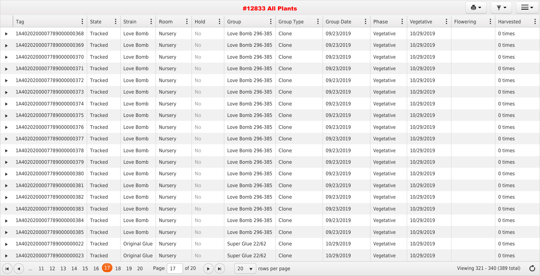|                       | $\ddot{\cdot}$<br>Tag                                                                                                                                | <b>State</b> |  | Strain                  | Room    |  | Hold |  | $\ddot{\cdot}$<br>Group   | Group Type | <b>Group Date</b> | Phase      | Vegetative | $\ddot{\cdot}$<br>Flowering             | Harvested |
|-----------------------|------------------------------------------------------------------------------------------------------------------------------------------------------|--------------|--|-------------------------|---------|--|------|--|---------------------------|------------|-------------------|------------|------------|-----------------------------------------|-----------|
|                       | 1A4020200007789000000368                                                                                                                             | Tracked      |  | Love Bomb               | Nursery |  | No.  |  | Love Bomb 296-385         | Clone      | 09/23/2019        | Vegetative | 10/29/2019 |                                         | 0 times   |
|                       | 1A4020200007789000000369                                                                                                                             | Tracked      |  | Love Bomb               | Nursery |  | No   |  | Love Bomb 296-385         | Clone      | 09/23/2019        | Vegetative | 10/29/2019 |                                         | 0 times   |
|                       | 1A4020200007789000000370                                                                                                                             | Tracked      |  | Love Bomb               | Nursery |  | No   |  | Love Bomb 296-385         | Clone      | 09/23/2019        | Vegetative | 10/29/2019 |                                         | 0 times   |
|                       | 1A4020200007789000000371                                                                                                                             | Tracked      |  | Love Bomb               | Nursery |  | No   |  | Love Bomb 296-385         | Clone      | 09/23/2019        | Vegetative | 10/29/2019 |                                         | 0 times   |
|                       | 1A4020200007789000000372                                                                                                                             | Tracked      |  | Love Bomb               | Nursery |  | No   |  | Love Bomb 296-385         | Clone      | 09/23/2019        | Vegetative | 10/29/2019 |                                         | 0 times   |
| $\blacktriangleright$ | 1A4020200007789000000373                                                                                                                             | Tracked      |  | Love Bomb               | Nursery |  | No   |  | Love Bomb 296-385         | Clone      | 09/23/2019        | Vegetative | 10/29/2019 |                                         | 0 times   |
|                       | 1A4020200007789000000374                                                                                                                             | Tracked      |  | Love Bomb               | Nursery |  | No   |  | Love Bomb 296-385         | Clone      | 09/23/2019        | Vegetative | 10/29/2019 |                                         | 0 times   |
|                       | 1A4020200007789000000375                                                                                                                             | Tracked      |  | Love Bomb               | Nursery |  | No   |  | Love Bomb 296-385         | Clone      | 09/23/2019        | Vegetative | 10/29/2019 |                                         | 0 times   |
|                       | 1A4020200007789000000376                                                                                                                             | Tracked      |  | Love Bomb               | Nursery |  | No   |  | Love Bomb 296-385         | Clone      | 09/23/2019        | Vegetative | 10/29/2019 |                                         | 0 times   |
| $\blacktriangleright$ | 1A4020200007789000000377                                                                                                                             | Tracked      |  | Love Bomb               | Nursery |  | No   |  | Love Bomb 296-385         | Clone      | 09/23/2019        | Vegetative | 10/29/2019 |                                         | 0 times   |
|                       | 1A4020200007789000000378                                                                                                                             | Tracked      |  | Love Bomb               | Nursery |  | No   |  | Love Bomb 296-385         | Clone      | 09/23/2019        | Vegetative | 10/29/2019 |                                         | 0 times   |
|                       | 1A4020200007789000000379                                                                                                                             | Tracked      |  | Love Bomb               | Nursery |  | No   |  | Love Bomb 296-385         | Clone      | 09/23/2019        | Vegetative | 10/29/2019 |                                         | 0 times   |
|                       | 1A4020200007789000000380                                                                                                                             | Tracked      |  | Love Bomb               | Nursery |  | No   |  | Love Bomb 296-385         | Clone      | 09/23/2019        | Vegetative | 10/29/2019 |                                         | 0 times   |
|                       | 1A4020200007789000000381                                                                                                                             | Tracked      |  | Love Bomb               | Nursery |  | No   |  | Love Bomb 296-385         | Clone      | 09/23/2019        | Vegetative | 10/29/2019 |                                         | 0 times   |
| $\blacktriangleright$ | 1A4020200007789000000382                                                                                                                             | Tracked      |  | Love Bomb               | Nursery |  | No   |  | Love Bomb 296-385   Clone |            | 09/23/2019        | Vegetative | 10/29/2019 |                                         | 0 times   |
|                       | 1A4020200007789000000383                                                                                                                             | Tracked      |  | Love Bomb               | Nursery |  | No   |  | Love Bomb 296-385         | Clone      | 09/23/2019        | Vegetative | 10/29/2019 |                                         | 0 times   |
|                       | 1A4020200007789000000384                                                                                                                             | Tracked      |  | Love Bomb               | Nursery |  | No   |  | Love Bomb 296-385         | Clone      | 09/23/2019        | Vegetative | 10/29/2019 |                                         | 0 times   |
|                       | 1A4020200007789000000385                                                                                                                             | Tracked      |  | Love Bomb               | Nursery |  | No   |  | Love Bomb 296-385         | Clone      | 09/23/2019        | Vegetative | 10/29/2019 |                                         | 0 times   |
|                       | 1A4020200007789000000022                                                                                                                             | Tracked      |  | <b>Original Glue</b>    | Nursery |  | No   |  | Super Glue 22/62          | Clone      | 10/29/2019        | Vegetative | 10/29/2019 |                                         | 0 times   |
|                       | 1A4020200007789000000023                                                                                                                             | Tracked      |  | Original Glue   Nursery |         |  | No   |  | Super Glue 22/62          | Clone      | 10/29/2019        | Vegetative | 10/29/2019 |                                         | 0 times   |
|                       | 11 12 13 14 15 16 $\boxed{17}$ 18 19 20<br>of $20$<br>Page $ 17$<br>$(\rightarrow)(H)$<br>$H$ $($ $\blacktriangleleft$<br>20 $\bullet$ rows per page |              |  |                         |         |  |      |  |                           |            |                   |            |            | Viewing 321 - 340 (389 total) $\bullet$ |           |

 $\overline{r}$   $\overline{r}$   $\overline{r}$   $\overline{r}$   $\overline{r}$ 

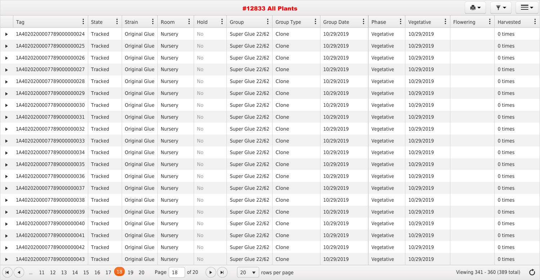|                       | <b>#12833 All Plants</b>                  |                |  |                                 |           |          |           |                                             |                              |                   |                              |            |            | ê t                                     | $\overline{\mathbf{v}}$<br>$\blacktriangledown$ | $\equiv$ $\sim$ |
|-----------------------|-------------------------------------------|----------------|--|---------------------------------|-----------|----------|-----------|---------------------------------------------|------------------------------|-------------------|------------------------------|------------|------------|-----------------------------------------|-------------------------------------------------|-----------------|
|                       | $\ddot{\cdot}$<br>Tag                     | State          |  | $\ddot{\cdot}$<br><b>Strain</b> | Room      | $\vdots$ | Hold      |                                             | $\frac{1}{2}$<br>Group       | <b>Group Type</b> | $\ddot{\cdot}$<br>Group Date | Phase      | Vegetative | Flowering                               | Harvested                                       |                 |
|                       | 1A4020200007789000000024                  | Tracked        |  | <b>Original Glue</b>            | Nursery   |          | No        |                                             | Super Glue 22/62             | Clone             | 10/29/2019                   | Vegetative | 10/29/2019 |                                         | 0 times                                         |                 |
|                       | 1A4020200007789000000025                  | Tracked        |  | <b>Original Glue</b>            | Nursery   |          | No        |                                             | Super Glue 22/62             | Clone             | 10/29/2019                   | Vegetative | 10/29/2019 |                                         | 0 times                                         |                 |
|                       | 1A4020200007789000000026                  | Tracked        |  | Original Glue                   | Nursery   |          | No        |                                             | Super Glue 22/62             | Clone             | 10/29/2019                   | Vegetative | 10/29/2019 |                                         | 0 times                                         |                 |
| $\blacktriangleright$ | 1A4020200007789000000027                  | Tracked        |  | Original Glue                   | Nursery   |          | No        |                                             | Super Glue 22/62             | Clone             | 10/29/2019                   | Vegetative | 10/29/2019 |                                         | 0 times                                         |                 |
|                       | 1A4020200007789000000028                  | Tracked        |  | Original Glue                   | Nursery   |          | No        |                                             | Super Glue 22/62             | Clone             | 10/29/2019                   | Vegetative | 10/29/2019 |                                         | 0 times                                         |                 |
|                       | 1A4020200007789000000029                  | Tracked        |  | Original Glue                   | Nursery   |          | No        |                                             | Super Glue 22/62             | Clone             | 10/29/2019                   | Vegetative | 10/29/2019 |                                         | 0 times                                         |                 |
|                       | 1A4020200007789000000030                  | Tracked        |  | <b>Original Glue</b>            | Nursery   |          | No        |                                             | Super Glue 22/62             | Clone             | 10/29/2019                   | Vegetative | 10/29/2019 |                                         | 0 times                                         |                 |
|                       | 1A4020200007789000000031                  | Tracked        |  | Original Glue                   | Nursery   |          | No        |                                             | Super Glue 22/62             | Clone             | 10/29/2019                   | Vegetative | 10/29/2019 |                                         | 0 times                                         |                 |
|                       | 1A4020200007789000000032                  | Tracked        |  | <b>Original Glue</b>            | Nursery   |          | No        |                                             | Super Glue 22/62             | Clone             | 10/29/2019                   | Vegetative | 10/29/2019 |                                         | 0 times                                         |                 |
|                       | 1A4020200007789000000033                  | Tracked        |  | Original Glue                   | Nursery   |          | <b>No</b> |                                             | Super Glue 22/62             | Clone             | 10/29/2019                   | Vegetative | 10/29/2019 |                                         | 0 times                                         |                 |
|                       | 1A4020200007789000000034                  | Tracked        |  | <b>Original Glue</b>            | Nursery   |          | No        |                                             | Super Glue 22/62             | Clone             | 10/29/2019                   | Vegetative | 10/29/2019 |                                         | 0 times                                         |                 |
| $\blacktriangleright$ | 1A4020200007789000000035                  | Tracked        |  | Original Glue                   | Nursery   |          | No        |                                             | Super Glue 22/62             | Clone             | 10/29/2019                   | Vegetative | 10/29/2019 |                                         | 0 times                                         |                 |
|                       | 1A4020200007789000000036                  | Tracked        |  | <b>Original Glue</b>            | Nursery   |          | No        |                                             | Super Glue 22/62             | Clone             | 10/29/2019                   | Vegetative | 10/29/2019 |                                         | 0 times                                         |                 |
|                       | 1A4020200007789000000037                  | <b>Tracked</b> |  | Original Glue   Nursery         |           |          | No        |                                             | Super Glue 22/62             | Clone             | 10/29/2019                   | Vegetative | 10/29/2019 |                                         | 0 times                                         |                 |
|                       | 1A4020200007789000000038                  | Tracked        |  | Original Glue   Nursery         |           |          | No        |                                             | Super Glue 22/62             | Clone             | 10/29/2019                   | Vegetative | 10/29/2019 |                                         | 0 times                                         |                 |
|                       | 1A4020200007789000000039                  | Tracked        |  | Original Glue   Nursery         |           |          | No        |                                             | Super Glue 22/62             | Clone             | 10/29/2019                   | Vegetative | 10/29/2019 |                                         | 0 times                                         |                 |
|                       | 1A4020200007789000000040                  | Tracked        |  | Original Glue   Nursery         |           |          | No        |                                             | Super Glue 22/62             | Clone             | 10/29/2019                   | Vegetative | 10/29/2019 |                                         | 0 times                                         |                 |
| $\blacktriangleright$ | 1A4020200007789000000041                  | Tracked        |  | Original Glue   Nursery         |           |          | No        |                                             | Super Glue 22/62             | Clone             | 10/29/2019                   | Vegetative | 10/29/2019 |                                         | 0 times                                         |                 |
|                       | 1A4020200007789000000042                  | Tracked        |  | Original Glue   Nursery         |           |          | No        |                                             | Super Glue 22/62             | Clone             | 10/29/2019                   | Vegetative | 10/29/2019 |                                         | 0 times                                         |                 |
|                       | 1A4020200007789000000043                  | Tracked        |  | Original Glue   Nursery         |           |          | No        |                                             | Super Glue 22/62             | Clone             | 10/29/2019                   | Vegetative | 10/29/2019 |                                         | 0 times                                         |                 |
|                       | 11 12 13 14 15 16 17 18<br>$\blacksquare$ |                |  | 19 20                           | Page $18$ | of $20$  |           | $\blacktriangleright)(\blacktriangleright)$ | 20 $\bullet$   rows per page |                   |                              |            |            | Viewing 341 - 360 (389 total) $\bullet$ |                                                 |                 |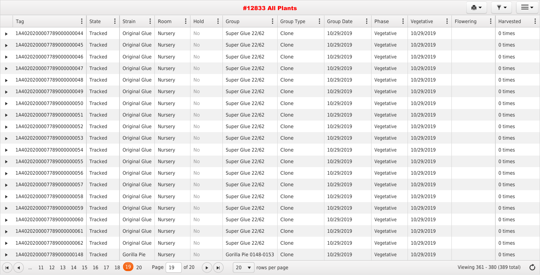|                       | Tag                                                                                                                              | State          | Strain                  | Room           |  | $\ddot{\cdot}$<br>Hold | Group<br>$\ddot{\bullet}$ | <b>Group Type</b> |  | <b>Group Date</b> | Phase<br>$\bullet$ | Vegetative | Flowering<br>$\ddot{\bullet}$ | Harvested                               |
|-----------------------|----------------------------------------------------------------------------------------------------------------------------------|----------------|-------------------------|----------------|--|------------------------|---------------------------|-------------------|--|-------------------|--------------------|------------|-------------------------------|-----------------------------------------|
|                       | 1A4020200007789000000044                                                                                                         | Tracked        | <b>Original Glue</b>    | Nursery        |  | No                     | Super Glue 22/62          | Clone             |  | 10/29/2019        | Vegetative         | 10/29/2019 |                               | 0 times                                 |
|                       | 1A4020200007789000000045                                                                                                         | Tracked        | <b>Original Glue</b>    | <b>Nursery</b> |  | No                     | Super Glue 22/62          | Clone             |  | 10/29/2019        | Vegetative         | 10/29/2019 |                               | 0 times                                 |
|                       | 1A4020200007789000000046                                                                                                         | <b>Tracked</b> | Original Glue           | Nursery        |  | No                     | Super Glue 22/62          | Clone             |  | 10/29/2019        | Vegetative         | 10/29/2019 |                               | 0 times                                 |
|                       | 1A4020200007789000000047                                                                                                         | Tracked        | Original Glue           | Nursery        |  | No                     | Super Glue 22/62          | Clone             |  | 10/29/2019        | Vegetative         | 10/29/2019 |                               | 0 times                                 |
|                       | 1A4020200007789000000048                                                                                                         | <b>Tracked</b> | <b>Original Glue</b>    | Nursery        |  | No                     | Super Glue 22/62          | Clone             |  | 10/29/2019        | Vegetative         | 10/29/2019 |                               | 0 times                                 |
|                       | 1A4020200007789000000049                                                                                                         | Tracked        | <b>Original Glue</b>    | Nursery        |  | No                     | Super Glue 22/62          | Clone             |  | 10/29/2019        | Vegetative         | 10/29/2019 |                               | 0 times                                 |
|                       | 1A4020200007789000000050                                                                                                         | Tracked        | <b>Original Glue</b>    | Nursery        |  | No                     | Super Glue 22/62          | Clone             |  | 10/29/2019        | Vegetative         | 10/29/2019 |                               | 0 times                                 |
|                       | 1A4020200007789000000051                                                                                                         | Tracked        | Original Glue           | Nursery        |  | No                     | Super Glue 22/62          | Clone             |  | 10/29/2019        | Vegetative         | 10/29/2019 |                               | 0 times                                 |
|                       | 1A4020200007789000000052                                                                                                         | Tracked        | <b>Original Glue</b>    | Nursery        |  | No                     | Super Glue 22/62          | Clone             |  | 10/29/2019        | Vegetative         | 10/29/2019 |                               | 0 times                                 |
|                       | 1A4020200007789000000053                                                                                                         | <b>Tracked</b> | <b>Original Glue</b>    | Nursery        |  | No                     | Super Glue 22/62          | Clone             |  | 10/29/2019        | Vegetative         | 10/29/2019 |                               | 0 times                                 |
|                       | 1A4020200007789000000054                                                                                                         | Tracked        | Original Glue           | Nursery        |  | No                     | Super Glue 22/62          | Clone             |  | 10/29/2019        | Vegetative         | 10/29/2019 |                               | 0 times                                 |
|                       | 1A4020200007789000000055                                                                                                         | Tracked        | Original Glue           | Nursery        |  | No                     | Super Glue 22/62          | Clone             |  | 10/29/2019        | Vegetative         | 10/29/2019 |                               | 0 times                                 |
|                       | 1A4020200007789000000056                                                                                                         | Tracked        | Original Glue           | Nursery        |  | No                     | Super Glue 22/62          | Clone             |  | 10/29/2019        | Vegetative         | 10/29/2019 |                               | 0 times                                 |
|                       | 1A4020200007789000000057                                                                                                         | <b>Tracked</b> | Original Glue           | Nursery        |  | No                     | Super Glue 22/62          | Clone             |  | 10/29/2019        | Vegetative         | 10/29/2019 |                               | 0 times                                 |
| $\blacktriangleright$ | 1A4020200007789000000058 Tracked                                                                                                 |                | Original Glue   Nursery |                |  | No                     | Super Glue 22/62          | Clone             |  | 10/29/2019        | Vegetative         | 10/29/2019 |                               | 0 times                                 |
|                       | 1A4020200007789000000059                                                                                                         | Tracked        | Original Glue           | Nursery        |  | No                     | Super Glue 22/62          | Clone             |  | 10/29/2019        | Vegetative         | 10/29/2019 |                               | 0 times                                 |
|                       | 1A4020200007789000000060                                                                                                         | Tracked        | Original Glue           | Nursery        |  | No                     | Super Glue 22/62          | Clone             |  | 10/29/2019        | Vegetative         | 10/29/2019 |                               | 0 times                                 |
|                       | 1A4020200007789000000061                                                                                                         | Tracked        | Original Glue           | Nursery        |  | No                     | Super Glue 22/62          | Clone             |  | 10/29/2019        | Vegetative         | 10/29/2019 |                               | 0 times                                 |
|                       | 1A4020200007789000000062                                                                                                         | Tracked        | <b>Original Glue</b>    | Nursery        |  | No                     | Super Glue 22/62          | Clone             |  | 10/29/2019        | Vegetative         | 10/29/2019 |                               | 0 times                                 |
|                       | 1A4020200007789000000148 Tracked                                                                                                 |                | Gorilla Pie             | Nursery        |  | No                     | Gorilla Pie 0148-0153     | Clone             |  | 10/29/2019        | Vegetative         | 10/29/2019 |                               | 0 times                                 |
| $\mathbf{H}$          | 11 12 13 14 15 16 17 18 19 20<br>of 20<br>Page $19$<br>$\blacktriangleright)(\blacktriangleright)$<br>20 $\bullet$ rows per page |                |                         |                |  |                        |                           |                   |  |                   |                    |            |                               | Viewing 361 - 380 (389 total) $\bullet$ |

 $\overline{Y}$   $\overline{Y}$   $\overline{Y}$   $\overline{Y}$   $\overline{Y}$